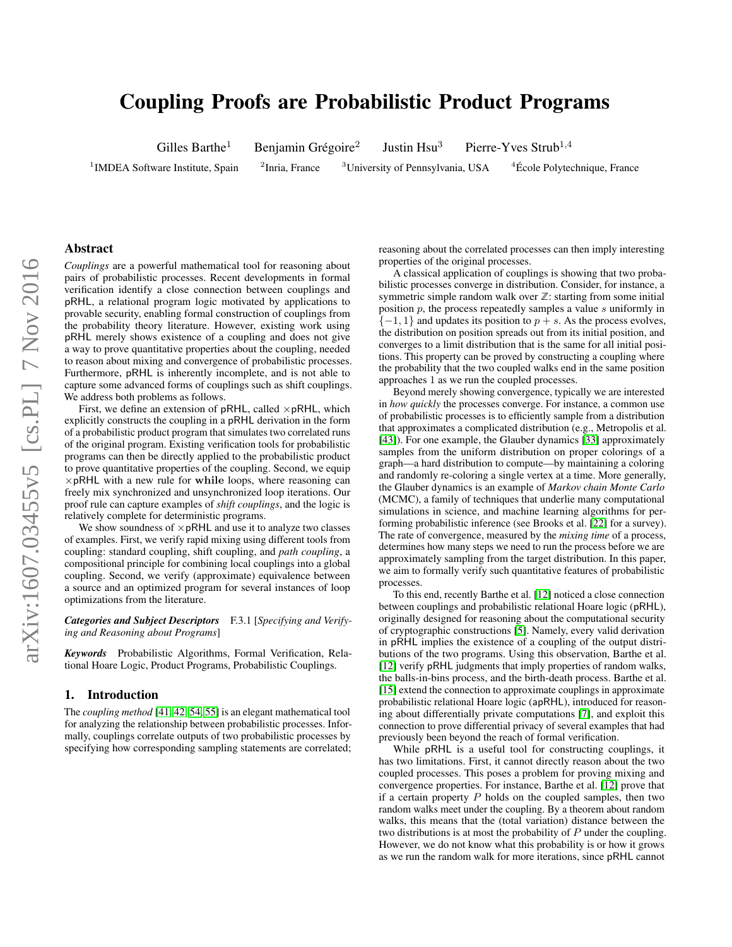# Coupling Proofs are Probabilistic Product Programs

Gilles Barthe<sup>1</sup> Benjamin Grégoire<sup>2</sup>

Justin Hsu<sup>3</sup> Pierre-Yves Strub<sup>1,4</sup>

 $1$ IMDEA Software Institute, Spain  $2$ 

 ${}^{2}$ Inria, France  ${}^{3}$ University of Pennsylvania, USA  ${}^{4}$ École Polytechnique, France

# Abstract

arXiv:1607.03455v5 [cs.PL] 7 Nov 2016 arXiv:1607.03455v5 [cs.PL] 7 Nov 2016

*Couplings* are a powerful mathematical tool for reasoning about pairs of probabilistic processes. Recent developments in formal verification identify a close connection between couplings and pRHL, a relational program logic motivated by applications to provable security, enabling formal construction of couplings from the probability theory literature. However, existing work using pRHL merely shows existence of a coupling and does not give a way to prove quantitative properties about the coupling, needed to reason about mixing and convergence of probabilistic processes. Furthermore, pRHL is inherently incomplete, and is not able to capture some advanced forms of couplings such as shift couplings. We address both problems as follows.

First, we define an extension of  $pRHL$ , called  $\times pRHL$ , which explicitly constructs the coupling in a pRHL derivation in the form of a probabilistic product program that simulates two correlated runs of the original program. Existing verification tools for probabilistic programs can then be directly applied to the probabilistic product to prove quantitative properties of the coupling. Second, we equip  $\times$  pRHL with a new rule for while loops, where reasoning can freely mix synchronized and unsynchronized loop iterations. Our proof rule can capture examples of *shift couplings*, and the logic is relatively complete for deterministic programs.

We show soundness of  $\times$  pRHL and use it to analyze two classes of examples. First, we verify rapid mixing using different tools from coupling: standard coupling, shift coupling, and *path coupling*, a compositional principle for combining local couplings into a global coupling. Second, we verify (approximate) equivalence between a source and an optimized program for several instances of loop optimizations from the literature.

*Categories and Subject Descriptors* F.3.1 [*Specifying and Verifying and Reasoning about Programs*]

*Keywords* Probabilistic Algorithms, Formal Verification, Relational Hoare Logic, Product Programs, Probabilistic Couplings.

## 1. Introduction

The *coupling method* [\[41,](#page-13-0) [42,](#page-13-1) [54,](#page-13-2) [55\]](#page-13-3) is an elegant mathematical tool for analyzing the relationship between probabilistic processes. Informally, couplings correlate outputs of two probabilistic processes by specifying how corresponding sampling statements are correlated; reasoning about the correlated processes can then imply interesting properties of the original processes.

A classical application of couplings is showing that two probabilistic processes converge in distribution. Consider, for instance, a symmetric simple random walk over  $\mathbb{Z}$ : starting from some initial position  $p$ , the process repeatedly samples a value  $s$  uniformly in  $\{-1, 1\}$  and updates its position to  $p + s$ . As the process evolves, the distribution on position spreads out from its initial position, and converges to a limit distribution that is the same for all initial positions. This property can be proved by constructing a coupling where the probability that the two coupled walks end in the same position approaches 1 as we run the coupled processes.

Beyond merely showing convergence, typically we are interested in *how quickly* the processes converge. For instance, a common use of probabilistic processes is to efficiently sample from a distribution that approximates a complicated distribution (e.g., Metropolis et al. [\[43\]](#page-13-4)). For one example, the Glauber dynamics [\[33\]](#page-12-0) approximately samples from the uniform distribution on proper colorings of a graph—a hard distribution to compute—by maintaining a coloring and randomly re-coloring a single vertex at a time. More generally, the Glauber dynamics is an example of *Markov chain Monte Carlo* (MCMC), a family of techniques that underlie many computational simulations in science, and machine learning algorithms for performing probabilistic inference (see Brooks et al. [\[22\]](#page-12-1) for a survey). The rate of convergence, measured by the *mixing time* of a process, determines how many steps we need to run the process before we are approximately sampling from the target distribution. In this paper, we aim to formally verify such quantitative features of probabilistic processes.

To this end, recently Barthe et al. [\[12\]](#page-12-2) noticed a close connection between couplings and probabilistic relational Hoare logic (pRHL), originally designed for reasoning about the computational security of cryptographic constructions [\[5\]](#page-12-3). Namely, every valid derivation in pRHL implies the existence of a coupling of the output distributions of the two programs. Using this observation, Barthe et al. [\[12\]](#page-12-2) verify pRHL judgments that imply properties of random walks, the balls-in-bins process, and the birth-death process. Barthe et al. [\[15\]](#page-12-4) extend the connection to approximate couplings in approximate probabilistic relational Hoare logic (apRHL), introduced for reasoning about differentially private computations [\[7\]](#page-12-5), and exploit this connection to prove differential privacy of several examples that had previously been beyond the reach of formal verification.

While pRHL is a useful tool for constructing couplings, it has two limitations. First, it cannot directly reason about the two coupled processes. This poses a problem for proving mixing and convergence properties. For instance, Barthe et al. [\[12\]](#page-12-2) prove that if a certain property  $P$  holds on the coupled samples, then two random walks meet under the coupling. By a theorem about random walks, this means that the (total variation) distance between the two distributions is at most the probability of P under the coupling. However, we do not know what this probability is or how it grows as we run the random walk for more iterations, since pRHL cannot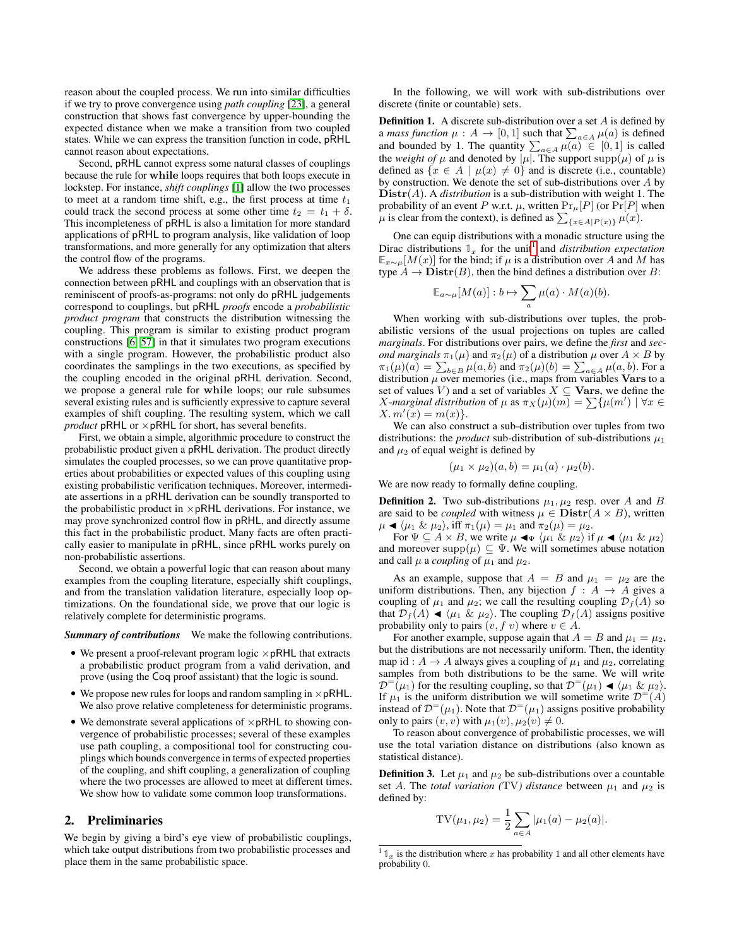reason about the coupled process. We run into similar difficulties if we try to prove convergence using *path coupling* [\[23\]](#page-12-6), a general construction that shows fast convergence by upper-bounding the expected distance when we make a transition from two coupled states. While we can express the transition function in code, pRHL cannot reason about expectations.

Second, pRHL cannot express some natural classes of couplings because the rule for while loops requires that both loops execute in lockstep. For instance, *shift couplings* [\[1\]](#page-12-7) allow the two processes to meet at a random time shift, e.g., the first process at time  $t_1$ could track the second process at some other time  $t_2 = t_1 + \delta$ . This incompleteness of pRHL is also a limitation for more standard applications of pRHL to program analysis, like validation of loop transformations, and more generally for any optimization that alters the control flow of the programs.

We address these problems as follows. First, we deepen the connection between pRHL and couplings with an observation that is reminiscent of proofs-as-programs: not only do pRHL judgements correspond to couplings, but pRHL *proofs* encode a *probabilistic product program* that constructs the distribution witnessing the coupling. This program is similar to existing product program constructions [\[6,](#page-12-8) [57\]](#page-13-5) in that it simulates two program executions with a single program. However, the probabilistic product also coordinates the samplings in the two executions, as specified by the coupling encoded in the original pRHL derivation. Second, we propose a general rule for while loops; our rule subsumes several existing rules and is sufficiently expressive to capture several examples of shift coupling. The resulting system, which we call *product* pRHL or  $\times$  pRHL for short, has several benefits.

First, we obtain a simple, algorithmic procedure to construct the probabilistic product given a pRHL derivation. The product directly simulates the coupled processes, so we can prove quantitative properties about probabilities or expected values of this coupling using existing probabilistic verification techniques. Moreover, intermediate assertions in a pRHL derivation can be soundly transported to the probabilistic product in  $\times$  pRHL derivations. For instance, we may prove synchronized control flow in pRHL, and directly assume this fact in the probabilistic product. Many facts are often practically easier to manipulate in pRHL, since pRHL works purely on non-probabilistic assertions.

Second, we obtain a powerful logic that can reason about many examples from the coupling literature, especially shift couplings, and from the translation validation literature, especially loop optimizations. On the foundational side, we prove that our logic is relatively complete for deterministic programs.

*Summary of contributions* We make the following contributions.

- We present a proof-relevant program logic  $\times$  pRHL that extracts a probabilistic product program from a valid derivation, and prove (using the Coq proof assistant) that the logic is sound.
- We propose new rules for loops and random sampling in  $\times$  pRHL. We also prove relative completeness for deterministic programs.
- We demonstrate several applications of  $\times$  pRHL to showing convergence of probabilistic processes; several of these examples use path coupling, a compositional tool for constructing couplings which bounds convergence in terms of expected properties of the coupling, and shift coupling, a generalization of coupling where the two processes are allowed to meet at different times. We show how to validate some common loop transformations.

# 2. Preliminaries

We begin by giving a bird's eye view of probabilistic couplings, which take output distributions from two probabilistic processes and place them in the same probabilistic space.

In the following, we will work with sub-distributions over discrete (finite or countable) sets.

**Definition 1.** A discrete sub-distribution over a set  $A$  is defined by a *mass function*  $\mu : A \to [0,1]$  such that  $\sum_{a \in A} \mu(a)$  is defined and bounded by 1. The quantity  $\sum_{a \in A} \mu(a) \in [0,1]$  is called the *weight of*  $\mu$  and denoted by  $|\mu|$ . The support supp $(\mu)$  of  $\mu$  is defined as  $\{x \in A \mid \mu(x) \neq 0\}$  and is discrete (i.e., countable) by construction. We denote the set of sub-distributions over A by Distr(A). A *distribution* is a sub-distribution with weight 1. The probability of an event P w.r.t.  $\mu$ , written  $Pr_{\mu}[P]$  (or  $Pr[P]$  when  $\mu$  is clear from the context), is defined as  $\sum_{\{x \in A \mid P(x)\}} \mu(x)$ .

One can equip distributions with a monadic structure using the Dirac distributions  $\mathbb{1}_x$  $\mathbb{1}_x$  $\mathbb{1}_x$  for the unit<sup>1</sup> and *distribution expectation*  $\mathbb{E}_{x \sim \mu}[M(x)]$  for the bind; if  $\mu$  is a distribution over A and M has type  $A \to \textbf{Distr}(B)$ , then the bind defines a distribution over B:

$$
\mathbb{E}_{a \sim \mu}[M(a)] : b \mapsto \sum_{a} \mu(a) \cdot M(a)(b).
$$

When working with sub-distributions over tuples, the probabilistic versions of the usual projections on tuples are called *marginals*. For distributions over pairs, we define the *first* and *second marginals*  $\pi_1(\mu)$  and  $\pi_2(\mu)$  of a distribution  $\mu$  over  $A \times B$  by  $\pi_1(\mu)(a) = \sum_{b \in B} \mu(a, b)$  and  $\pi_2(\mu)(b) = \sum_{a \in A} \mu(a, b)$ . For a distribution  $\mu$  over memories (i.e., maps from variables **Vars** to a set of values V) and a set of variables  $X \subseteq$  **Vars**, we define the X-marginal distribution of  $\mu$  as  $\pi_X(\mu)(m) = \sum \{ \mu(m') \mid \forall x \in$  $X. m'(x) = m(x)$ .

We can also construct a sub-distribution over tuples from two distributions: the *product* sub-distribution of sub-distributions  $\mu_1$ and  $\mu_2$  of equal weight is defined by

$$
(\mu_1 \times \mu_2)(a, b) = \mu_1(a) \cdot \mu_2(b).
$$

We are now ready to formally define coupling.

**Definition 2.** Two sub-distributions  $\mu_1, \mu_2$  resp. over A and B are said to be *coupled* with witness  $\mu \in \mathbf{Distr}(A \times B)$ , written  $\mu \blacktriangleleft \langle \mu_1 \& \mu_2 \rangle$ , iff  $\pi_1(\mu) = \mu_1$  and  $\pi_2(\mu) = \mu_2$ .

For  $\Psi \subseteq A \times B$ , we write  $\mu \blacktriangleleft_{\Psi} \langle \mu_1 \& \mu_2 \rangle$  if  $\mu \blacktriangleleft \langle \mu_1 \& \mu_2 \rangle$ and moreover supp $(\mu) \subseteq \Psi$ . We will sometimes abuse notation and call  $\mu$  a *coupling* of  $\mu_1$  and  $\mu_2$ .

As an example, suppose that  $A = B$  and  $\mu_1 = \mu_2$  are the uniform distributions. Then, any bijection  $f : A \rightarrow A$  gives a coupling of  $\mu_1$  and  $\mu_2$ ; we call the resulting coupling  $\mathcal{D}_f(A)$  so that  $\mathcal{D}_f(A) \triangleleft \langle \mu_1 \& \mu_2 \rangle$ . The coupling  $\mathcal{D}_f(A)$  assigns positive probability only to pairs  $(v, f, v)$  where  $v \in A$ .

For another example, suppose again that  $A = B$  and  $\mu_1 = \mu_2$ , but the distributions are not necessarily uniform. Then, the identity map id :  $A \rightarrow A$  always gives a coupling of  $\mu_1$  and  $\mu_2$ , correlating samples from both distributions to be the same. We will write  $\mathcal{D}^{-}(\mu_1)$  for the resulting coupling, so that  $\mathcal{D}^{-}(\mu_1) \blacktriangleleft \langle \mu_1 \& \mu_2 \rangle$ . If  $\mu_1$  is the uniform distribution we will sometime write  $\mathcal{D}^{-1}(A)$ instead of  $\mathcal{D}^=(\mu_1)$ . Note that  $\mathcal{D}^=(\mu_1)$  assigns positive probability only to pairs  $(v, v)$  with  $\mu_1(v), \mu_2(v) \neq 0$ .

To reason about convergence of probabilistic processes, we will use the total variation distance on distributions (also known as statistical distance).

**Definition 3.** Let  $\mu_1$  and  $\mu_2$  be sub-distributions over a countable set A. The *total variation* (TV) distance between  $\mu_1$  and  $\mu_2$  is defined by:

$$
TV(\mu_1, \mu_2) = \frac{1}{2} \sum_{a \in A} |\mu_1(a) - \mu_2(a)|.
$$

<span id="page-1-0"></span> $1 \mathbb{1}_x$  is the distribution where x has probability 1 and all other elements have probability 0.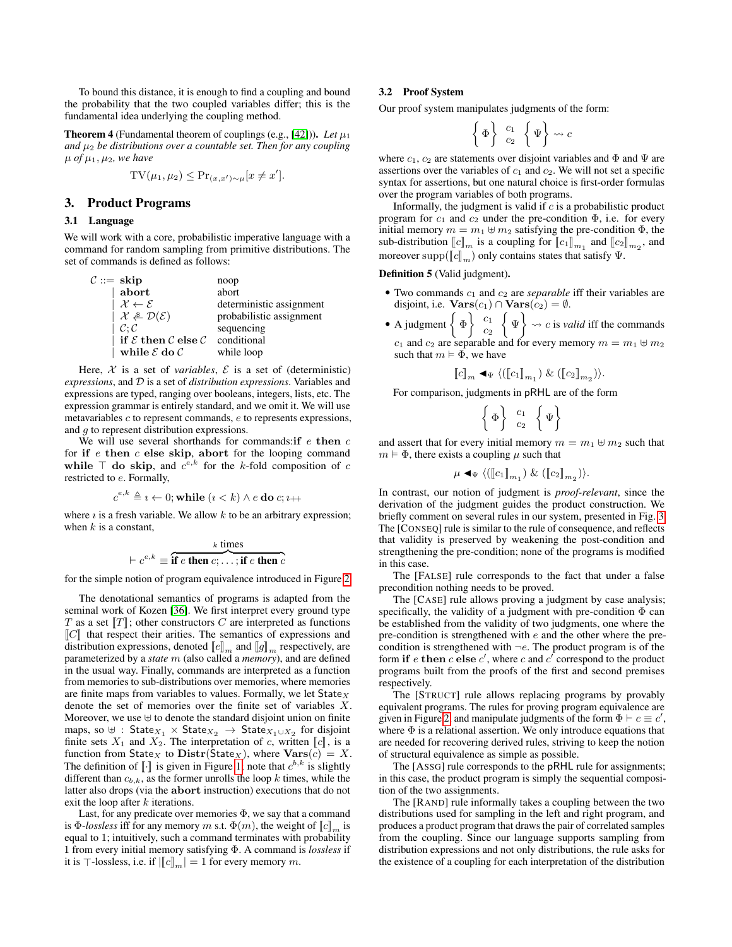To bound this distance, it is enough to find a coupling and bound the probability that the two coupled variables differ; this is the fundamental idea underlying the coupling method.

<span id="page-2-0"></span>**Theorem 4** (Fundamental theorem of couplings (e.g., [\[42\]](#page-13-1))). Let  $\mu_1$ *and*  $\mu_2$  *be distributions over a countable set. Then for any coupling*  $\mu$  *of*  $\mu_1$ ,  $\mu_2$ *, we have* 

$$
TV(\mu_1, \mu_2) \leq Pr_{(x, x') \sim \mu}[x \neq x'].
$$

# 3. Product Programs

#### 3.1 Language

We will work with a core, probabilistic imperative language with a command for random sampling from primitive distributions. The set of commands is defined as follows:

| $C ::=$ skip                                        | noop                     |
|-----------------------------------------------------|--------------------------|
| abort                                               | abort                    |
| $\mathcal{X} \leftarrow \mathcal{E}$                | deterministic assignment |
| $\mathcal{X} \triangleq \mathcal{D}(\mathcal{E})$   | probabilistic assignment |
| C: C                                                | sequencing               |
| if $\mathcal E$ then $\mathcal C$ else $\mathcal C$ | conditional              |
| while $\mathcal E$ do $\mathcal C$                  | while loop               |
|                                                     |                          |

Here,  $X$  is a set of *variables*,  $E$  is a set of (deterministic) *expressions*, and D is a set of *distribution expressions*. Variables and expressions are typed, ranging over booleans, integers, lists, etc. The expression grammar is entirely standard, and we omit it. We will use metavariables c to represent commands, e to represents expressions, and g to represent distribution expressions.

We will use several shorthands for commands: if  $e$  then  $c$ for if  $e$  then  $c$  else skip, abort for the looping command while  $\top$  do skip, and  $c^{e,k}$  for the k-fold composition of c restricted to e. Formally,

$$
c^{e,k} \triangleq i \leftarrow 0; \text{while } (i < k) \land e \text{ do } c; i \rightarrow \perp
$$

where  $\iota$  is a fresh variable. We allow  $k$  to be an arbitrary expression; when  $k$  is a constant,

$$
\vdash c^{e,k} \equiv \overbrace{\textbf{if } e \textbf{ then } c; \ldots; \textbf{if } e \textbf{ then } c}^{k \textbf{ times}}
$$

for the simple notion of program equivalence introduced in Figure [2.](#page-3-0)

The denotational semantics of programs is adapted from the seminal work of Kozen [\[36\]](#page-13-6). We first interpret every ground type T as a set  $T$ ; other constructors C are interpreted as functions  $\llbracket C \rrbracket$  that respect their arities. The semantics of expressions and distribution expressions, denoted  $\llbracket e \rrbracket_m$  and  $\llbracket g \rrbracket_m$  respectively, are parameterized by a *state* m (also called a *memory*), and are defined in the usual way. Finally, commands are interpreted as a function from memories to sub-distributions over memories, where memories are finite maps from variables to values. Formally, we let  $\text{State}_X$ denote the set of memories over the finite set of variables X. Moreover, we use  $\uplus$  to denote the standard disjoint union on finite maps, so  $\uplus$  : State $_{X_1}$   $\times$  State $_{X_2}$   $\rightarrow$  State $_{X_1\cup X_2}$  for disjoint finite sets  $X_1$  and  $X_2$ . The interpretation of c, written  $\llbracket c \rrbracket$ , is a function from State<sub>X</sub> to  $\text{Distr}(\text{State}_X)$ , where  $\text{Vars}(c) = X$ . The definition of  $\llbracket \cdot \rrbracket$  is given in Figure [1;](#page-3-1) note that  $c^{b,k}$  is slightly different than  $c_k$ , as the former unrolls the loop k times, while the different than  $c_{b,k}$ , as the former unrolls the loop  $k$  times, while the latter also drops (via the abort instruction) executions that do not exit the loop after  $k$  iterations.

Last, for any predicate over memories  $\Phi$ , we say that a command is Φ-*lossless* iff for any memory m s.t.  $\Phi(m)$ , the weight of  $\llbracket c \rrbracket_m$  is equal to 1; intuitively, such a command terminates with probability 1 from every initial memory satisfying Φ. A command is *lossless* if it is  $\top$ -lossless, i.e. if  $\left|\llbracket c \rrbracket_m\right| = 1$  for every memory m.

## 3.2 Proof System

Our proof system manipulates judgments of the form:

$$
\left\{\Phi\right\} \begin{array}{c} c_1 \\ c_2 \end{array} \left\{\Psi\right\} \rightsquigarrow c
$$

where  $c_1$ ,  $c_2$  are statements over disjoint variables and  $\Phi$  and  $\Psi$  are assertions over the variables of  $c_1$  and  $c_2$ . We will not set a specific syntax for assertions, but one natural choice is first-order formulas over the program variables of both programs.

Informally, the judgment is valid if  $c$  is a probabilistic product program for  $c_1$  and  $c_2$  under the pre-condition  $\Phi$ , i.e. for every initial memory  $m = m_1 \oplus m_2$  satisfying the pre-condition  $\Phi$ , the sub-distribution  $[\![c]\!]_m$  is a coupling for  $[\![c_1]\!]_{m_1}$  and  $[\![c_2]\!]_{m_2}$ , and moreover supp $(\llbracket c \rrbracket_m)$  only contains states that satisfy  $\Psi$ .

## Definition 5 (Valid judgment).

- Two commands  $c_1$  and  $c_2$  are *separable* iff their variables are disjoint, i.e.  $\textbf{Vars}(c_1) \cap \textbf{Vars}(c_2) = \emptyset$ .
- A judgment  $\left\{\Phi\right\}$   $c_1$  $\overline{c_2}$  $\left\{\Psi\right\} \rightsquigarrow c$  is *valid* iff the commands  $c_1$  and  $c_2$  are separable and for every memory  $m = m_1 \oplus m_2$ such that  $m \models \Phi$ , we have

$$
[\![c]\!]_m \blacktriangleleft_\Psi \langle (\llbracket c_1 \rrbracket_{m_1}) \And (\llbracket c_2 \rrbracket_{m_2}) \rangle.
$$

For comparison, judgments in pRHL are of the form

$$
\left\{\Phi\right\} \begin{array}{c} c_1 \\ c_2 \end{array} \left\{\Psi\right\}
$$

and assert that for every initial memory  $m = m_1 \oplus m_2$  such that  $m \models \Phi$ , there exists a coupling  $\mu$  such that

$$
\mu \triangleleft_{\Psi} \langle (\llbracket c_1 \rrbracket_{m_1}) \& (\llbracket c_2 \rrbracket_{m_2}) \rangle.
$$

In contrast, our notion of judgment is *proof-relevant*, since the derivation of the judgment guides the product construction. We briefly comment on several rules in our system, presented in Fig. [3.](#page-4-0) The [CONSEQ] rule is similar to the rule of consequence, and reflects that validity is preserved by weakening the post-condition and strengthening the pre-condition; none of the programs is modified in this case.

The [FALSE] rule corresponds to the fact that under a false precondition nothing needs to be proved.

The [CASE] rule allows proving a judgment by case analysis; specifically, the validity of a judgment with pre-condition  $\Phi$  can be established from the validity of two judgments, one where the pre-condition is strengthened with  $e$  and the other where the precondition is strengthened with  $\neg e$ . The product program is of the form if e then c else c', where c and  $c^{\prime}$  correspond to the product programs built from the proofs of the first and second premises respectively.

The [STRUCT] rule allows replacing programs by provably equivalent programs. The rules for proving program equivalence are given in Figure [2,](#page-3-0) and manipulate judgments of the form  $\Phi \vdash c \equiv c'$ , where  $\Phi$  is a relational assertion. We only introduce equations that are needed for recovering derived rules, striving to keep the notion of structural equivalence as simple as possible.

The [ASSG] rule corresponds to the pRHL rule for assignments; in this case, the product program is simply the sequential composition of the two assignments.

The [RAND] rule informally takes a coupling between the two distributions used for sampling in the left and right program, and produces a product program that draws the pair of correlated samples from the coupling. Since our language supports sampling from distribution expressions and not only distributions, the rule asks for the existence of a coupling for each interpretation of the distribution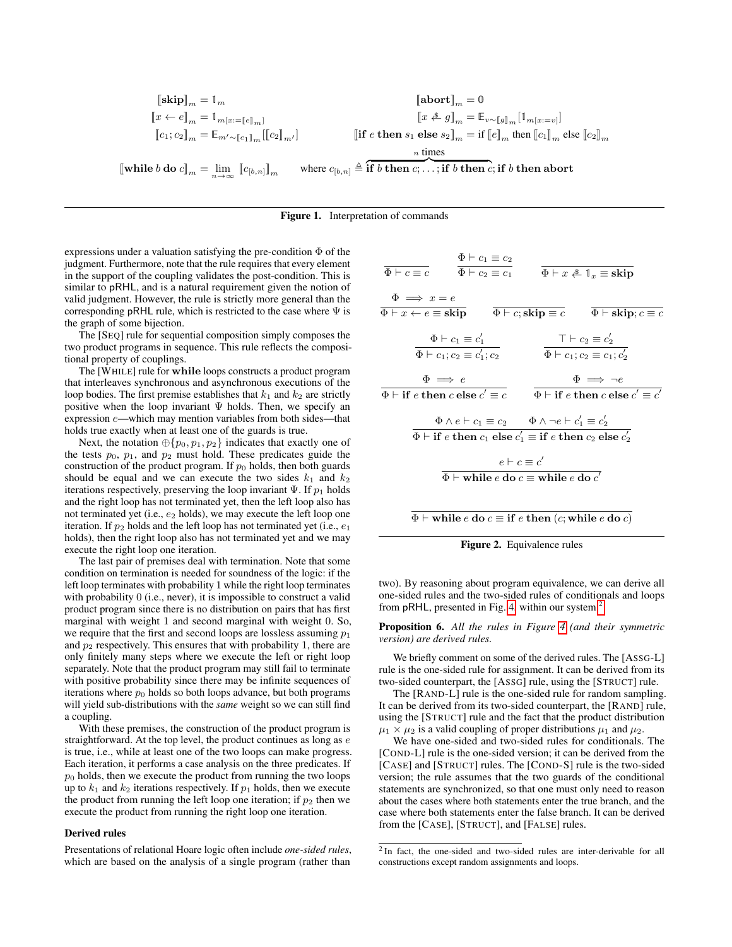$$
\begin{aligned} \llbracket \textbf{skip} \rrbracket_m &= 1_m & \llbracket \textbf{abort} \rrbracket_m &= 0 \\ \llbracket x \leftarrow e \rrbracket_m &= 1_{m[x:=\llbracket e \rrbracket_m]} & \llbracket x \overset{\textbf{a}}{\leftarrow} g \rrbracket_m = \mathbb{E}_{v \sim \llbracket g \rrbracket_m} [1_{m[x:=v]}] \\ \llbracket c_1;c_2 \rrbracket_m &= \mathbb{E}_{m' \sim \llbracket c_1 \rrbracket_m} [ \llbracket c_2 \rrbracket_m ] & \llbracket \textbf{if } e \textbf{ then } s_1 \textbf{ else } s_2 \rrbracket_m = \textbf{if } \llbracket e \rrbracket_m \textbf{ then } \llbracket c_1 \rrbracket_m \textbf{ else } \llbracket c_2 \rrbracket_m \end{aligned}
$$

$$
n \text{ times}
$$

 $\llbracket \textbf{while } b \textbf{ do } c \rrbracket_m = \lim_{n \to \infty} \, \llbracket c_{[b,n]} \rrbracket_m$ where  $c_{[b,n]} \triangleq \overbrace{\textbf{if } b \textbf{ then } c; \ldots; \textbf{if } b \textbf{ then } c; \textbf{if } b \textbf{ then } \textbf{abort}}$ 

#### <span id="page-3-1"></span>Figure 1. Interpretation of commands

expressions under a valuation satisfying the pre-condition  $\Phi$  of the judgment. Furthermore, note that the rule requires that every element in the support of the coupling validates the post-condition. This is similar to pRHL, and is a natural requirement given the notion of valid judgment. However, the rule is strictly more general than the corresponding pRHL rule, which is restricted to the case where  $\Psi$  is the graph of some bijection.

The [SEQ] rule for sequential composition simply composes the two product programs in sequence. This rule reflects the compositional property of couplings.

The [WHILE] rule for while loops constructs a product program that interleaves synchronous and asynchronous executions of the loop bodies. The first premise establishes that  $k_1$  and  $k_2$  are strictly positive when the loop invariant  $\Psi$  holds. Then, we specify an expression e—which may mention variables from both sides—that holds true exactly when at least one of the guards is true.

Next, the notation  $\oplus \{p_0, p_1, p_2\}$  indicates that exactly one of the tests  $p_0$ ,  $p_1$ , and  $p_2$  must hold. These predicates guide the construction of the product program. If  $p_0$  holds, then both guards should be equal and we can execute the two sides  $k_1$  and  $k_2$ iterations respectively, preserving the loop invariant  $\Psi$ . If  $p_1$  holds and the right loop has not terminated yet, then the left loop also has not terminated yet (i.e.,  $e_2$  holds), we may execute the left loop one iteration. If  $p_2$  holds and the left loop has not terminated yet (i.e.,  $e_1$ ) holds), then the right loop also has not terminated yet and we may execute the right loop one iteration.

The last pair of premises deal with termination. Note that some condition on termination is needed for soundness of the logic: if the left loop terminates with probability 1 while the right loop terminates with probability 0 (i.e., never), it is impossible to construct a valid product program since there is no distribution on pairs that has first marginal with weight 1 and second marginal with weight 0. So, we require that the first and second loops are lossless assuming  $p_1$ and  $p_2$  respectively. This ensures that with probability 1, there are only finitely many steps where we execute the left or right loop separately. Note that the product program may still fail to terminate with positive probability since there may be infinite sequences of iterations where  $p_0$  holds so both loops advance, but both programs will yield sub-distributions with the *same* weight so we can still find a coupling.

With these premises, the construction of the product program is straightforward. At the top level, the product continues as long as  $e$ is true, i.e., while at least one of the two loops can make progress. Each iteration, it performs a case analysis on the three predicates. If  $p<sub>0</sub>$  holds, then we execute the product from running the two loops up to  $k_1$  and  $k_2$  iterations respectively. If  $p_1$  holds, then we execute the product from running the left loop one iteration; if  $p_2$  then we execute the product from running the right loop one iteration.

## Derived rules

Presentations of relational Hoare logic often include *one-sided rules*, which are based on the analysis of a single program (rather than

| $\Phi \vdash c \equiv c$                                                                        | $\Phi \vdash c_1 \equiv c_2$<br>$\Phi \vdash c_2 \equiv c_1$                                                                                                                                                                    | $\Phi \vdash x \triangleq 1_x \equiv \textbf{skip}$                                                   |
|-------------------------------------------------------------------------------------------------|---------------------------------------------------------------------------------------------------------------------------------------------------------------------------------------------------------------------------------|-------------------------------------------------------------------------------------------------------|
| $\Phi \implies x = e$<br>$\Phi \vdash x \leftarrow e \equiv s\overline{\textbf{kip}}$           |                                                                                                                                                                                                                                 | $\Phi \vdash c;$ <b>skip</b> $\equiv c$ $\Phi \vdash$ <b>skip</b> ; $c \equiv c$                      |
|                                                                                                 | $\Phi \vdash c_1 \equiv c'_1$<br>$\Phi \vdash c_1; c_2 \equiv c'_1; c_2$                                                                                                                                                        | $\top \vdash c_2 \equiv c_2'$<br>$\overline{\Phi \vdash c_1;c_2 \equiv c_1;c_2'}$                     |
| $\Phi \implies e$<br>$\Phi \vdash \textbf{if } e \textbf{ then } c \textbf{ else } c' \equiv c$ |                                                                                                                                                                                                                                 | $\Phi \implies \neg e$<br>$\Phi \vdash \textbf{if } e \textbf{ then } c \textbf{ else } c' \equiv c'$ |
|                                                                                                 | $\Phi \wedge e \vdash c_1 \equiv c_2 \qquad \Phi \wedge \neg e \vdash c'_1 \equiv c'_2$<br>$\Phi \vdash \textbf{if } e \textbf{ then } c_1 \textbf{ else } c'_1 \equiv \textbf{if } e \textbf{ then } c_2 \textbf{ else } c'_2$ |                                                                                                       |
|                                                                                                 | $e \vdash c \equiv c'$<br>$\Phi \vdash$ while e do $c \equiv$ while e do $c'$                                                                                                                                                   |                                                                                                       |
|                                                                                                 |                                                                                                                                                                                                                                 |                                                                                                       |

 $\Phi \vdash \mathbf{while} \ e \ \mathbf{do} \ c \equiv \mathbf{if} \ e \ \mathbf{then} \ (c; \mathbf{while} \ e \ \mathbf{do} \ c)$ 

<span id="page-3-0"></span>Figure 2. Equivalence rules

two). By reasoning about program equivalence, we can derive all one-sided rules and the two-sided rules of conditionals and loops from pRHL, presented in Fig. [4,](#page-5-0) within our system.<sup>[2](#page-3-2)</sup>

Proposition 6. *All the rules in Figure [4](#page-5-0) (and their symmetric version) are derived rules.*

We briefly comment on some of the derived rules. The [ASSG-L] rule is the one-sided rule for assignment. It can be derived from its two-sided counterpart, the [ASSG] rule, using the [STRUCT] rule.

The [RAND-L] rule is the one-sided rule for random sampling. It can be derived from its two-sided counterpart, the [RAND] rule, using the [STRUCT] rule and the fact that the product distribution  $\mu_1 \times \mu_2$  is a valid coupling of proper distributions  $\mu_1$  and  $\mu_2$ .

We have one-sided and two-sided rules for conditionals. The [COND-L] rule is the one-sided version; it can be derived from the [CASE] and [STRUCT] rules. The [COND-S] rule is the two-sided version; the rule assumes that the two guards of the conditional statements are synchronized, so that one must only need to reason about the cases where both statements enter the true branch, and the case where both statements enter the false branch. It can be derived from the [CASE], [STRUCT], and [FALSE] rules.

<span id="page-3-2"></span><sup>&</sup>lt;sup>2</sup> In fact, the one-sided and two-sided rules are inter-derivable for all constructions except random assignments and loops.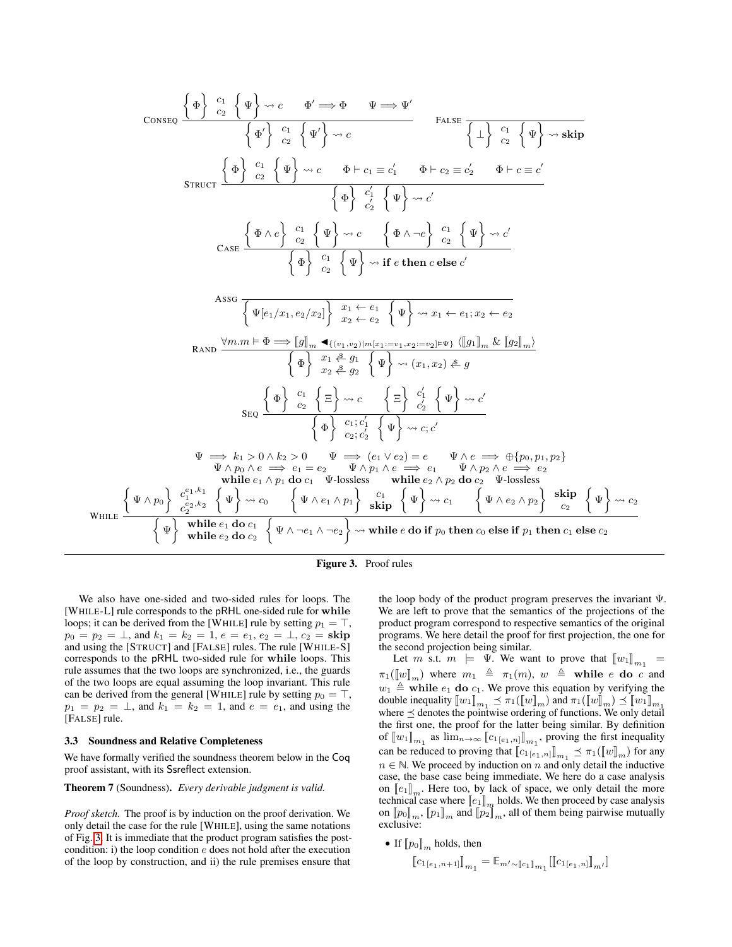$$
\cos\left\{\Phi\right\} \xrightarrow{c_1} \begin{pmatrix} \frac{1}{2} \\ \frac{1}{2} \end{pmatrix} \xrightarrow{c_2} \begin{pmatrix} \frac{1}{2} \\ \frac{1}{2} \end{pmatrix} \xrightarrow{c_1} \begin{pmatrix} c_1 \\ c_2 \end{pmatrix} \xrightarrow{c_2} \begin{pmatrix} \frac{1}{2} \\ \frac{1}{2} \end{pmatrix} \xrightarrow{c_2} \begin{pmatrix} \frac{1}{2} \\ \frac{1}{2} \end{pmatrix} \xrightarrow{c_2} \begin{pmatrix} \frac{1}{2} \\ \frac{1}{2} \end{pmatrix} \xrightarrow{c_2} \begin{pmatrix} \frac{1}{2} \\ \frac{1}{2} \end{pmatrix} \xrightarrow{c_2} \begin{pmatrix} \frac{1}{2} \\ \frac{1}{2} \end{pmatrix} \xrightarrow{c_2} \begin{pmatrix} \frac{1}{2} \\ \frac{1}{2} \end{pmatrix} \xrightarrow{c_2} \begin{pmatrix} \frac{1}{2} \\ \frac{1}{2} \end{pmatrix} \xrightarrow{c_2} \begin{pmatrix} \frac{1}{2} \\ \frac{1}{2} \end{pmatrix} \xrightarrow{c_2} \begin{pmatrix} \frac{1}{2} \\ \frac{1}{2} \end{pmatrix} \xrightarrow{c_2} \begin{pmatrix} \frac{1}{2} \\ \frac{1}{2} \end{pmatrix} \xrightarrow{c_2} \begin{pmatrix} \frac{1}{2} \\ \frac{1}{2} \end{pmatrix} \xrightarrow{c_2} \begin{pmatrix} \frac{1}{2} \\ \frac{1}{2} \end{pmatrix} \xrightarrow{c_2} \begin{pmatrix} \frac{1}{2} \\ \frac{1}{2} \end{pmatrix} \xrightarrow{c_2} \begin{pmatrix} \frac{1}{2} \\ \frac{1}{2} \end{pmatrix} \xrightarrow{c_2} \begin{pmatrix} \frac{1}{2} \\ \frac{1}{2} \end{pmatrix} \xrightarrow{c_2} \begin{pmatrix} \frac{1}{2} \\ \frac{1}{2} \end{pmatrix} \xrightarrow{c_2} \begin{pmatrix} \frac{1}{2} \\ \frac{1}{2} \end{pmatrix} \xrightarrow{c_2} \begin{pmatrix} \frac{1}{2} \\ \frac{1}{2} \end{pmatrix} \xrightarrow{c_2} \begin{pmatrix} \frac{1}{2} \\
$$



We also have one-sided and two-sided rules for loops. The [WHILE-L] rule corresponds to the pRHL one-sided rule for while loops; it can be derived from the [WHILE] rule by setting  $p_1 = \top$ ,  $p_0 = p_2 = \perp$ , and  $k_1 = k_2 = 1$ ,  $e = e_1$ ,  $e_2 = \perp$ ,  $c_2 =$ **skip** and using the [STRUCT] and [FALSE] rules. The rule [WHILE-S] corresponds to the pRHL two-sided rule for while loops. This rule assumes that the two loops are synchronized, i.e., the guards of the two loops are equal assuming the loop invariant. This rule can be derived from the general [WHILE] rule by setting  $p_0 = \top$ ,  $p_1 = p_2 = \perp$ , and  $k_1 = k_2 = 1$ , and  $e = e_1$ , and using the [FALSE] rule.

#### 3.3 Soundness and Relative Completeness

We have formally verified the soundness theorem below in the Coq proof assistant, with its Ssreflect extension.

Theorem 7 (Soundness). *Every derivable judgment is valid.*

*Proof sketch.* The proof is by induction on the proof derivation. We only detail the case for the rule [WHILE], using the same notations of Fig. [3.](#page-4-0) It is immediate that the product program satisfies the postcondition: i) the loop condition e does not hold after the execution of the loop by construction, and ii) the rule premises ensure that <span id="page-4-0"></span>the loop body of the product program preserves the invariant Ψ. We are left to prove that the semantics of the projections of the product program correspond to respective semantics of the original programs. We here detail the proof for first projection, the one for the second projection being similar.

Let m s.t.  $m \models \Psi$ . We want to prove that  $[\![w_1]\!]_{m_1} =$  $\pi_1(\llbracket w \rrbracket_m)$  where  $m_1 \triangleq \pi_1(m)$ ,  $w \triangleq$  while e do c and  $w_1 \triangleq$  while  $e_1$  do  $c_1$ . We prove this equation by verifying the double inequality  $[\![w_1]\!]_{m_1} \preceq \pi_1([\![w]\!]_m)$  and  $\pi_1([\![w]\!]_m) \preceq [\![w_1]\!]_{m_1}$ <br>where  $\preceq$  denotes the pointwise ordering of functions. We only detail where  $\preceq$  denotes the pointwise ordering of functions. We only detail the first one, the proof for the latter being similar. By definition of  $[\![w_1]\!]_{m_1}$  as  $\lim_{n\to\infty} [\![c_1]_{[e_1,n]}] \!]_{m_1}$ , proving the first inequality can be reduced to proving that  $[\![c_{1}[e_{1,n}]\!]_{m_1} \preceq \pi_1([\![w]\!]_m)$  for any  $n \in \mathbb{N}$ . We proceed by induction on n and only detail the inductive case, the base case being immediate. We here do a case analysis on  $\llbracket e_1 \rrbracket_m$ . Here too, by lack of space, we only detail the more technical case where  $[\![e_1]\!]_m$  holds. We then proceed by case analysis<br>on  $[\![p_0]\!]_m$  and  $[\![p_0]\!]_m$  all of them being pairwise mutually on  $\llbracket p_0 \rrbracket_m$ ,  $\llbracket p_1 \rrbracket_m$  and  $\llbracket p_2 \rrbracket_m$ , all of them being pairwise mutually exclusive:

• If  $[p_0]_m$  holds, then

$$
\left[\!\left[ c_{1\left[e_{1},n+1\right]}\right]\!\right]_{m_{1}}=\mathbb{E}_{m'\sim\left[\!\left[c_{1}\right]\!\right]_{m_{1}}}\!\left[\!\left[\!\left[c_{1\left[e_{1},n\right]}\right]\!\right]_{m'}\!\right]
$$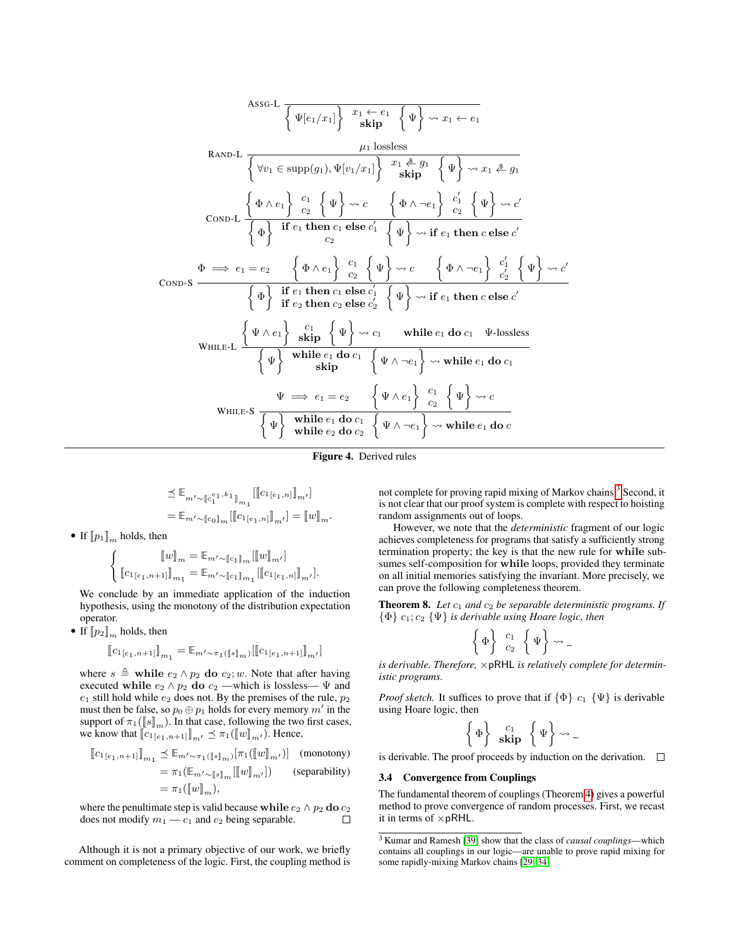Assof-L

\n
$$
\frac{\sqrt{w_{e1}w_{e1}}}{\sqrt{w_{e1}w_{e1}w_{e1}}} = \frac{\mu_1 \text{ lossless}}{\mu_1 \text{ lossless}} \left\{\Psi_2 \rightarrow x_1 \leftarrow e_1
$$
\n
$$
\frac{\mu_1 \text{ lossless}}{\mu_1 \text{ disp}} \left\{\Psi_1 \rightarrow x_1 \leftarrow e_1
$$
\n
$$
\frac{\mu_1 \text{ lossless}}{\mu_1 \text{ disp}} \left\{\Psi_1 \rightarrow x_1 \leftarrow e_1 \left\{\Psi_1 \rightarrow x_1 \leftarrow e_1 \left\{\Psi_1 \rightarrow x_1 \leftarrow e_1 \left\{\Psi_1 \rightarrow x_1 \leftarrow e_1 \left\{\Psi_1 \rightarrow x_1 \leftarrow e_1 \left\{\Psi_1 \rightarrow x_1 \leftarrow e_1 \left\{\Psi_1 \rightarrow x_1 \leftarrow e_1 \left\{\Psi_1 \rightarrow x_1 \leftarrow e_1 \left\{\Psi_1 \rightarrow x_1 \leftarrow e_1 \left\{\Psi_1 \rightarrow x_1 \leftarrow e_1 \left\{\Psi_1 \rightarrow x_1 \leftarrow e_1 \left\{\Psi_1 \rightarrow x_1 \leftarrow e_1 \left\{\Psi_1 \rightarrow x_1 \leftarrow e_1 \left\{\Psi_1 \rightarrow x_1 \leftarrow e_1 \left\{\Psi_1 \rightarrow x_1 \leftarrow e_1 \left\{\Psi_1 \rightarrow x_1 \leftarrow e_1 \left\{\Psi_1 \rightarrow x_1 \leftarrow e_1 \left\{\Psi_1 \rightarrow x_1 \leftarrow e_1 \left\{\Psi_1 \rightarrow x_1 \leftarrow e_1 \left\{\Psi_1 \rightarrow x_1 \leftarrow e_1 \left\{\Psi_1 \rightarrow x_1 \leftarrow e_1 \left\{\Psi_1 \rightarrow x_1 \leftarrow e_1 \left\{\Psi_1 \rightarrow x_1 \leftarrow e_1 \left\{\Psi_1 \rightarrow x_1 \leftarrow e_1 \left\{\Psi_1 \rightarrow x_1 \leftarrow e_1 \left\{\Psi_1 \rightarrow x_1 \leftarrow e_1 \left\{\Psi_1 \rightarrow x_1 \leftarrow e_1 \left\{\Psi_1 \rightarrow x_1 \leftarrow e_1 \left\{\Psi_1 \rightarrow x_1 \leftarrow e_1 \left\{\Psi_1 \rightarrow x_1 \leftarrow e_1 \left\{\{\Psi_1 \rightarrow x_1 \leftarrow e_1 \left\{\Psi_1 \rightarrow x_1 \leftarrow e_1 \left\{\{\Psi_1 \rightarrow x_1 \leftarrow e_1 \left
$$

Figure 4. Derived rules

$$
\leq \mathbb{E}_{m' \sim [\![c_1^{e_1}, k_1]\!]_{m_1}} [[[c_{1[e_1, n]}]]_{m'}]
$$
  
= 
$$
\mathbb{E}_{m' \sim [\![c_0]\!]_m} [[[c_{1[e_1, n]}]]_{m'}] = [[w]]_m.
$$

• If  $[p_1]_m$  holds, then

$$
\begin{cases} \llbracket w \rrbracket_m = \mathbb{E}_{m' \sim [\![c_1]\!]_m} [\llbracket w \rrbracket_{m'}] \\ \llbracket c_1 \rrbracket_{e_1, n+1} \rrbracket_{m_1} = \mathbb{E}_{m' \sim [\![c_1]\!]_{m_1}} [\llbracket c_1 \rrbracket_{e_1, n} \rrbracket_{m'}]. \end{cases}
$$

We conclude by an immediate application of the induction hypothesis, using the monotony of the distribution expectation operator.

• If  $[p_2]_m$  holds, then

$$
\llbracket c_{1[e_1, n+1]} \rrbracket_{m_1} = \mathbb{E}_{m' \sim \pi_1(\llbracket s \rrbracket_m)} [\llbracket c_{1[e_1, n+1]} \rrbracket_{m'}]
$$

where  $s \triangleq$  while  $e_2 \wedge p_2$  do  $c_2$ ; w. Note that after having executed while  $e_2 \wedge p_2$  do  $c_2$  —which is lossless—  $\Psi$  and  $e_1$  still hold while  $e_2$  does not. By the premises of the rule,  $p_2$ must then be false, so  $p_0 \oplus p_1$  holds for every memory m' in the support of  $\pi_1([\![s]\!]_m)$ . In that case, following the two first cases,<br>we know that  $[\![c_1, \ldots, s]\!] \preceq \pi_1([\![u]\!]$ . Hence we know that  $[[c_{1}[e_{1},n+1]]_{m'} \preceq \pi_1([w]]_{m'})$ . Hence,

$$
\begin{aligned} \llbracket c_{1[e_1, n+1]} \rrbracket_{m_1} &\preceq \mathbb{E}_{m' \sim \pi_1(\llbracket s \rrbracket_m)}[\pi_1(\llbracket w \rrbracket_{m'})] \quad \text{(monotony)}\\ &= \pi_1(\llbracket w \rrbracket_{m'}[\llbracket w \rrbracket_{m'}]) \quad \text{(separability)}\\ &= \pi_1(\llbracket w \rrbracket_m), \end{aligned}
$$

where the penultimate step is valid because while  $e_2 \wedge p_2$  do  $c_2$ does not modify  $m_1 - c_1$  and  $c_2$  being separable.  $\Box$ 

Although it is not a primary objective of our work, we briefly comment on completeness of the logic. First, the coupling method is

<span id="page-5-0"></span>not complete for proving rapid mixing of Markov chains.<sup>[3](#page-5-1)</sup> Second, it is not clear that our proof system is complete with respect to hoisting random assignments out of loops.

However, we note that the *deterministic* fragment of our logic achieves completeness for programs that satisfy a sufficiently strong termination property; the key is that the new rule for while subsumes self-composition for while loops, provided they terminate on all initial memories satisfying the invariant. More precisely, we can prove the following completeness theorem.

**Theorem 8.** Let  $c_1$  and  $c_2$  be separable deterministic programs. If {Φ} c1; c<sup>2</sup> {Ψ} *is derivable using Hoare logic, then*

$$
\left\{\Phi\right\}\begin{array}{c}c_1\\c_2\end{array}\left\{\Psi\right\}\leadsto -
$$

*is derivable. Therefore,* ×pRHL *is relatively complete for deterministic programs.*

*Proof sketch.* It suffices to prove that if  $\{\Phi\}$  c<sub>1</sub>  $\{\Psi\}$  is derivable using Hoare logic, then

$$
\left\{\Phi\right\} \begin{array}{c} c_1 \\ \mathbf{skip} \end{array} \left\{\Psi\right\} \rightsquigarrow
$$

is derivable. The proof proceeds by induction on the derivation.  $\Box$ 

#### 3.4 Convergence from Couplings

The fundamental theorem of couplings (Theorem [4\)](#page-2-0) gives a powerful method to prove convergence of random processes. First, we recast it in terms of  $\times$  pRHL.

<span id="page-5-2"></span><span id="page-5-1"></span><sup>3</sup> Kumar and Ramesh [\[39\]](#page-13-7) show that the class of *causal couplings*—which contains all couplings in our logic—are unable to prove rapid mixing for some rapidly-mixing Markov chains [\[29,](#page-12-9) [34\]](#page-12-10)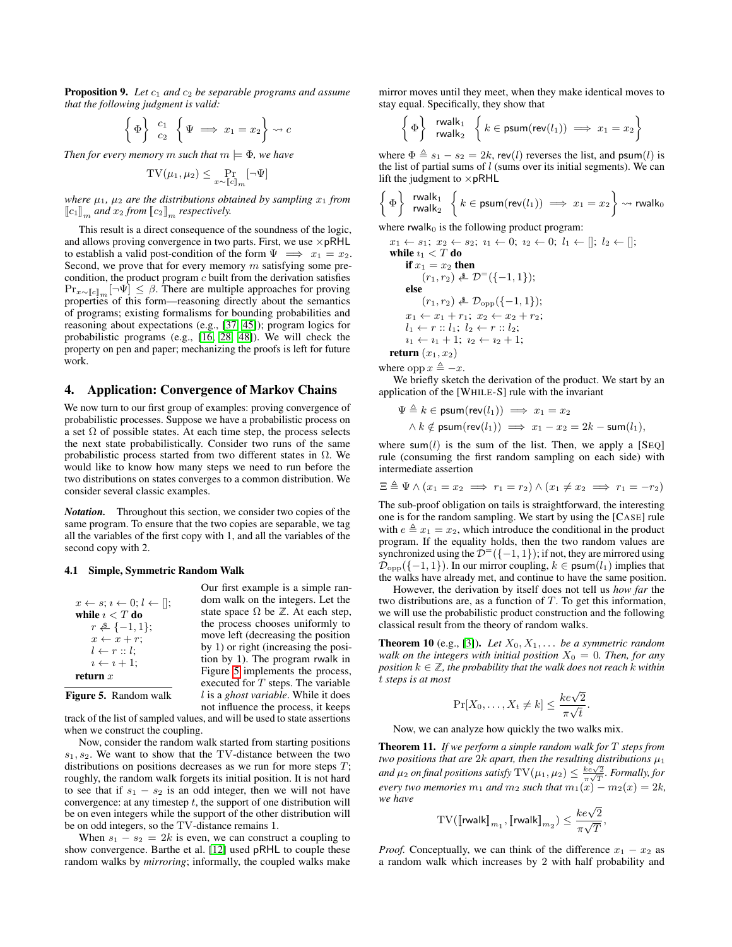**Proposition 9.** Let  $c_1$  and  $c_2$  be separable programs and assume *that the following judgment is valid:*

$$
\left\{ \Phi \right\} \begin{array}{c} c_1 \\ c_2 \end{array} \left\{ \Psi \implies x_1 = x_2 \right\} \rightsquigarrow c
$$

*Then for every memory* m *such that*  $m \models \Phi$ *, we have* 

$$
\mathrm{TV}(\mu_1, \mu_2) \le \Pr_{x \sim [\![c]\!]_m} [\neg \Psi]
$$

*where*  $\mu_1$ ,  $\mu_2$  *are the distributions obtained by sampling*  $x_1$  *from*  $\llbracket c_1 \rrbracket_m$  and  $x_2$  *from*  $\llbracket c_2 \rrbracket_m$  *respectively.* 

This result is a direct consequence of the soundness of the logic, and allows proving convergence in two parts. First, we use  $\times$  pRHL to establish a valid post-condition of the form  $\Psi \implies x_1 = x_2$ . Second, we prove that for every memory  $m$  satisfying some precondition, the product program  $c$  built from the derivation satisfies  $\Pr_{x \sim [\![c]\!]_m} [\neg \Psi] \leq \beta$ . There are multiple approaches for proving properties of this form—reasoning directly about the semantics of programs; existing formalisms for bounding probabilities and reasoning about expectations (e.g., [\[37,](#page-13-8) [45\]](#page-13-9)); program logics for probabilistic programs (e.g., [\[16,](#page-12-11) [28,](#page-12-12) [48\]](#page-13-10)). We will check the property on pen and paper; mechanizing the proofs is left for future work.

## 4. Application: Convergence of Markov Chains

We now turn to our first group of examples: proving convergence of probabilistic processes. Suppose we have a probabilistic process on a set  $\Omega$  of possible states. At each time step, the process selects the next state probabilistically. Consider two runs of the same probabilistic process started from two different states in  $\Omega$ . We would like to know how many steps we need to run before the two distributions on states converges to a common distribution. We consider several classic examples.

*Notation.* Throughout this section, we consider two copies of the same program. To ensure that the two copies are separable, we tag all the variables of the first copy with 1, and all the variables of the second copy with 2.

#### 4.1 Simple, Symmetric Random Walk

|                                                     | Our first example is a simple ran-                   |
|-----------------------------------------------------|------------------------------------------------------|
| $x \leftarrow s; i \leftarrow 0; l \leftarrow []$ ; | dom walk on the integers. Let the                    |
| while $i < T$ do                                    | state space $\Omega$ be $\mathbb{Z}$ . At each step, |
| $r \triangleq \{-1, 1\};$                           | the process chooses uniformly to                     |
| $x \leftarrow x + r$                                | move left (decreasing the position                   |
| $l \leftarrow r :: l;$                              | by 1) or right (increasing the posi-                 |
| $i \leftarrow i+1$ ;                                | tion by 1). The program rwalk in                     |
| return $x$                                          | Figure 5 implements the process,                     |
|                                                     | executed for $T$ steps. The variable                 |
| <b>Figure 5.</b> Random walk                        | l is a <i>ghost variable</i> . While it does         |
|                                                     | not influence the process, it keeps                  |

<span id="page-6-0"></span>track of the list of sampled values, and will be used to state assertions when we construct the coupling.

Now, consider the random walk started from starting positions  $s_1, s_2$ . We want to show that the TV-distance between the two distributions on positions decreases as we run for more steps  $T$ ; roughly, the random walk forgets its initial position. It is not hard to see that if  $s_1 - s_2$  is an odd integer, then we will not have convergence: at any timestep  $t$ , the support of one distribution will be on even integers while the support of the other distribution will be on odd integers, so the TV-distance remains 1.

When  $s_1 - s_2 = 2k$  is even, we can construct a coupling to show convergence. Barthe et al. [\[12\]](#page-12-2) used pRHL to couple these random walks by *mirroring*; informally, the coupled walks make mirror moves until they meet, when they make identical moves to stay equal. Specifically, they show that

$$
\left\{\Phi\right\} \xrightarrow{\text{rwalk}_1} \left\{k \in \text{psum}(\text{rev}(l_1)) \implies x_1 = x_2\right\}
$$

where  $\Phi \triangleq s_1 - s_2 = 2k$ , rev(l) reverses the list, and psum(l) is the list of partial sums of  $l$  (sums over its initial segments). We can lift the judgment to  $\times$  pRHL

$$
\left\{\Phi\right\} \xrightarrow{\text{rwalk}_1} \left\{k \in \text{psum}(\text{rev}(l_1)) \implies x_1 = x_2\right\} \rightsquigarrow \text{rwalk}_0
$$

where rwalk $<sub>0</sub>$  is the following product program:</sub>

 $x_1 \leftarrow s_1; x_2 \leftarrow s_2; i_1 \leftarrow 0; i_2 \leftarrow 0; l_1 \leftarrow []; l_2 \leftarrow [];$ while  $i_1 < T$  do if  $x_1 = x_2$  then  $(r_1, r_2) \triangleq \mathcal{D}^{-}(\{-1, 1\});$ else  $(r_1, r_2) \triangleq \mathcal{D}_{\text{opp}}(\{-1, 1\});$  $x_1 \leftarrow x_1 + r_1; x_2 \leftarrow x_2 + r_2;$  $l_1 \leftarrow r :: l_1; l_2 \leftarrow r :: l_2;$  $i_1 \leftarrow i_1 + 1; i_2 \leftarrow i_2 + 1;$ return  $(x_1, x_2)$ 

where opp  $x \triangleq -x$ .

We briefly sketch the derivation of the product. We start by an application of the [WHILE-S] rule with the invariant

$$
\Psi \triangleq k \in \text{psum}(\text{rev}(l_1)) \implies x_1 = x_2
$$
  
 
$$
\wedge k \notin \text{psum}(\text{rev}(l_1)) \implies x_1 - x_2 = 2k - \text{sum}(l_1),
$$

where sum(l) is the sum of the list. Then, we apply a  $[SeQ]$ rule (consuming the first random sampling on each side) with intermediate assertion

$$
\Xi \triangleq \Psi \wedge (x_1 = x_2 \implies r_1 = r_2) \wedge (x_1 \neq x_2 \implies r_1 = -r_2)
$$

The sub-proof obligation on tails is straightforward, the interesting one is for the random sampling. We start by using the [CASE] rule with  $e \triangleq x_1 = x_2$ , which introduce the conditional in the product program. If the equality holds, then the two random values are synchronized using the  $\mathcal{D}^{-}(\{-1,1\})$ ; if not, they are mirrored using  $\mathcal{D}_{opp}({-1, 1})$ . In our mirror coupling,  $k \in \text{psum}(l_1)$  implies that the walks have already met, and continue to have the same position.

However, the derivation by itself does not tell us *how far* the two distributions are, as a function of T. To get this information, we will use the probabilistic product construction and the following classical result from the theory of random walks.

<span id="page-6-1"></span>**Theorem 10** (e.g., [\[3\]](#page-12-13)). Let  $X_0, X_1, \ldots$  be a symmetric random *walk on the integers with initial position*  $X_0 = 0$ *. Then, for any position*  $k \in \mathbb{Z}$ , the probability that the walk does not reach k within t *steps is at most*

$$
\Pr[X_0, \dots, X_t \neq k] \le \frac{ke\sqrt{2}}{\pi\sqrt{t}}.
$$

Now, we can analyze how quickly the two walks mix.

<span id="page-6-2"></span>Theorem 11. *If we perform a simple random walk for* T *steps from two positions that are 2k apart, then the resulting distributions*  $\mu_1$ *and*  $\mu_2$  *on final positions satisfy*  $TV(\mu_1, \mu_2) \leq \frac{k \epsilon \sqrt{2}}{\pi \sqrt{T}}$ *. Formally, for every two memories*  $m_1$  *and*  $m_2$  *such that*  $m_1(x) - m_2(x) = 2k$ *, we have*

$$
\mathrm{TV}(\llbracket \mathsf{rwalk} \rrbracket_{m_1}, \llbracket \mathsf{rwalk} \rrbracket_{m_2}) \leq \frac{ke\sqrt{2}}{\pi\sqrt{T}},
$$

*Proof.* Conceptually, we can think of the difference  $x_1 - x_2$  as a random walk which increases by 2 with half probability and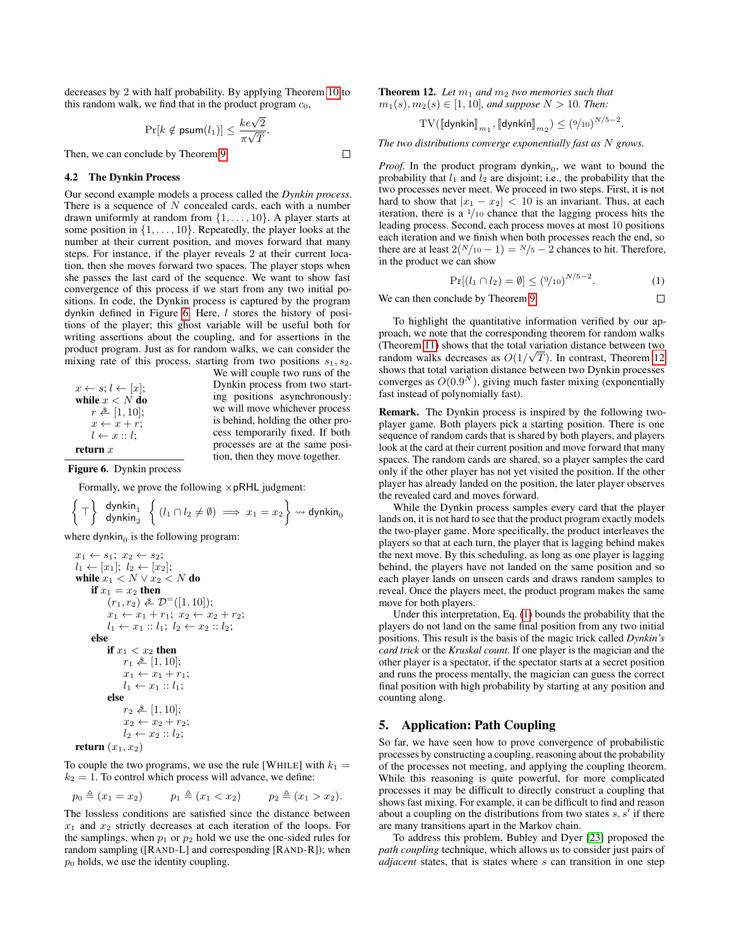decreases by 2 with half probability. By applying Theorem [10](#page-6-1) to this random walk, we find that in the product program  $c_0$ ,

$$
\Pr[k \notin \text{psum}(l_1)] \leq \frac{ke\sqrt{2}}{\pi\sqrt{T}}.
$$

Then, we can conclude by Theorem [9.](#page-5-2)

## 4.2 The Dynkin Process

Our second example models a process called the *Dynkin process*. There is a sequence of  $N$  concealed cards, each with a number drawn uniformly at random from  $\{1, \ldots, 10\}$ . A player starts at some position in  $\{1, \ldots, 10\}$ . Repeatedly, the player looks at the number at their current position, and moves forward that many steps. For instance, if the player reveals 2 at their current location, then she moves forward two spaces. The player stops when she passes the last card of the sequence. We want to show fast convergence of this process if we start from any two initial positions. In code, the Dynkin process is captured by the program dynkin defined in Figure [6.](#page-7-0) Here, l stores the history of positions of the player; this ghost variable will be useful both for writing assertions about the coupling, and for assertions in the product program. Just as for random walks, we can consider the mixing rate of this process, starting from two positions  $s_1, s_2$ .

We will couple two runs of the Dynkin process from two starting positions asynchronously: we will move whichever process is behind, holding the other process temporarily fixed. If both processes are at the same position, then they move together.

 $\Box$ 

| $x \leftarrow s$ ; $l \leftarrow  x $ ; |  |  |
|-----------------------------------------|--|--|
| while $x < N$ do                        |  |  |
| $r \triangleq [1, 10];$                 |  |  |
| $x \leftarrow x + r$                    |  |  |
| $l \leftarrow x :: l$                   |  |  |
| return $x$                              |  |  |

Figure 6. Dynkin process

<span id="page-7-0"></span>Formally, we prove the following  $\times$  pRHL judgment:

$$
\left\{\top\right\} \begin{array}{c} \text{dynkin}_1\\ \text{dynkin}_2 \end{array} \left\{\left(l_1 \cap l_2 \neq \emptyset\right) \implies x_1 = x_2\right\} \rightsquigarrow \text{dynkin}_0
$$

where dynkin $_0$  is the following program:

$$
x_1 \leftarrow s_1; x_2 \leftarrow s_2; \n l_1 \leftarrow [x_1]; l_2 \leftarrow [x_2]; \nwhile x_1 < N \vee x_2 < N \text{ do} \nif x_1 = x_2 \text{ then} \n (r_1, r_2) \stackrel{\$}{}{\sim} \mathcal{D}^=[(1, 10]); \n x_1 \leftarrow x_1 + r_1; x_2 \leftarrow x_2 + r_2; \n l_1 \leftarrow x_1 :: l_1; l_2 \leftarrow x_2 :: l_2; \nelse \nif x_1 < x_2 \text{ then} \n r_1 \stackrel{\$}{}{\sim} [1, 10]; \n x_1 \leftarrow x_1 + r_1; \n l_1 \leftarrow x_1 :: l_1; \nelse \n r_2 \stackrel{\$}{}{\sim} [1, 10]; \n x_2 \leftarrow x_2 + r_2; \n l_2 \leftarrow x_2 :: l_2; \nreturn (x_1, x_2)
$$

To couple the two programs, we use the rule [WHILE] with  $k_1 =$  $k_2 = 1$ . To control which process will advance, we define:

$$
p_0 \triangleq (x_1 = x_2)
$$
  $p_1 \triangleq (x_1 < x_2)$   $p_2 \triangleq (x_1 > x_2)$ .

<span id="page-7-1"></span>The lossless conditions are satisfied since the distance between  $x_1$  and  $x_2$  strictly decreases at each iteration of the loops. For the samplings, when  $p_1$  or  $p_2$  hold we use the one-sided rules for random sampling ([RAND-L] and corresponding [RAND-R]); when  $p_0$  holds, we use the identity coupling.

**Theorem 12.** Let  $m_1$  and  $m_2$  two memories such that  $m_1(s), m_2(s) \in [1, 10]$ *, and suppose*  $N > 10$ *. Then:* 

$$
\mathrm{TV}(\llbracket \mathsf{dynkin} \rrbracket_{m_1}, \llbracket \mathsf{dynkin} \rrbracket_{m_2}) \leq (9/10)^{N/5-2}.
$$

*The two distributions converge exponentially fast as* N *grows.*

*Proof.* In the product program dynkin $<sub>0</sub>$ , we want to bound the</sub> probability that  $l_1$  and  $l_2$  are disjoint; i.e., the probability that the two processes never meet. We proceed in two steps. First, it is not hard to show that  $|x_1 - x_2| < 10$  is an invariant. Thus, at each iteration, there is a  $\frac{1}{10}$  chance that the lagging process hits the leading process. Second, each process moves at most 10 positions each iteration and we finish when both processes reach the end, so there are at least  $2(N/10 - 1) = N/5 - 2$  chances to hit. Therefore, in the product we can show

<span id="page-7-2"></span>
$$
\Pr[(l_1 \cap l_2) = \emptyset] \leq (\frac{9}{10})^{N/5 - 2}.
$$
 (1)

 $\Box$ 

We can then conclude by Theorem [9.](#page-5-2)

To highlight the quantitative information verified by our approach, we note that the corresponding theorem for random walks (Theorem [11\)](#page-6-2) shows that the total variation distance between two random walks decreases as  $O(1/\sqrt{T})$ . In contrast, Theorem [12](#page-7-1) shows that total variation distance between two Dynkin processes converges as  $O(0.9<sup>N</sup>)$ , giving much faster mixing (exponentially fast instead of polynomially fast).

Remark. The Dynkin process is inspired by the following twoplayer game. Both players pick a starting position. There is one sequence of random cards that is shared by both players, and players look at the card at their current position and move forward that many spaces. The random cards are shared, so a player samples the card only if the other player has not yet visited the position. If the other player has already landed on the position, the later player observes the revealed card and moves forward.

While the Dynkin process samples every card that the player lands on, it is not hard to see that the product program exactly models the two-player game. More specifically, the product interleaves the players so that at each turn, the player that is lagging behind makes the next move. By this scheduling, as long as one player is lagging behind, the players have not landed on the same position and so each player lands on unseen cards and draws random samples to reveal. Once the players meet, the product program makes the same move for both players.

Under this interpretation, Eq. [\(1\)](#page-7-2) bounds the probability that the players do not land on the same final position from any two initial positions. This result is the basis of the magic trick called *Dynkin's card trick* or the *Kruskal count*. If one player is the magician and the other player is a spectator, if the spectator starts at a secret position and runs the process mentally, the magician can guess the correct final position with high probability by starting at any position and counting along.

## 5. Application: Path Coupling

So far, we have seen how to prove convergence of probabilistic processes by constructing a coupling, reasoning about the probability of the processes not meeting, and applying the coupling theorem. While this reasoning is quite powerful, for more complicated processes it may be difficult to directly construct a coupling that shows fast mixing. For example, it can be difficult to find and reason about a coupling on the distributions from two states  $s, s'$  if there are many transitions apart in the Markov chain.

To address this problem, Bubley and Dyer [\[23\]](#page-12-6) proposed the *path coupling* technique, which allows us to consider just pairs of *adjacent* states, that is states where s can transition in one step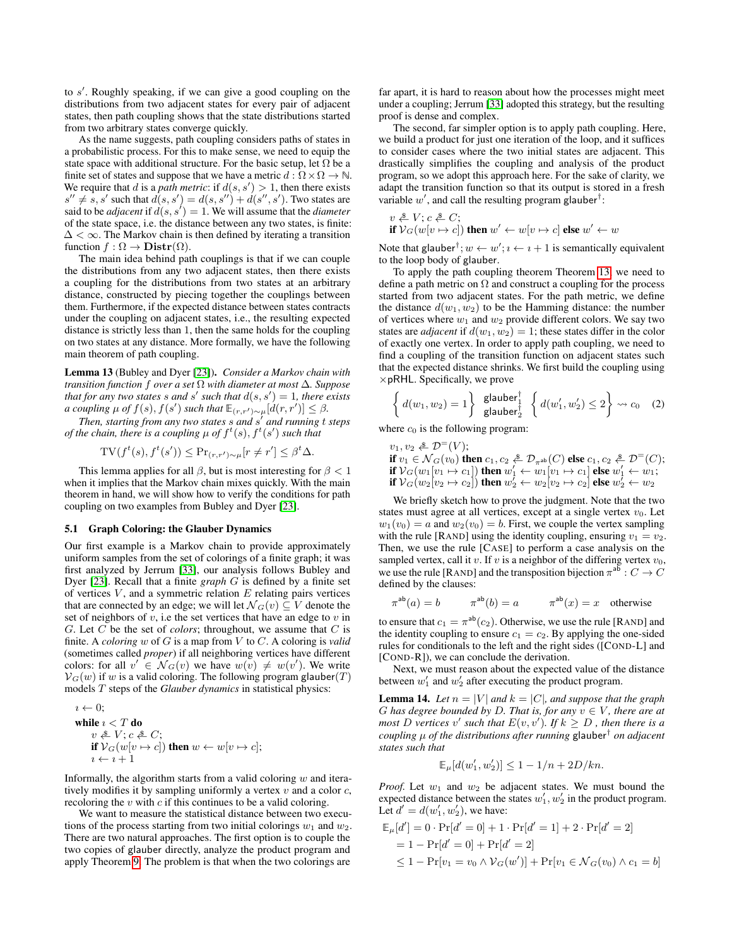to  $s'$ . Roughly speaking, if we can give a good coupling on the distributions from two adjacent states for every pair of adjacent states, then path coupling shows that the state distributions started from two arbitrary states converge quickly.

As the name suggests, path coupling considers paths of states in a probabilistic process. For this to make sense, we need to equip the state space with additional structure. For the basic setup, let  $\Omega$  be a finite set of states and suppose that we have a metric  $d : \Omega \times \Omega \to \mathbb{N}$ . We require that d is a *path metric*: if  $d(s, s') > 1$ , then there exists  $s'' \neq \overline{s}$ , s' such that  $d(s, s') = d(s, s'') + d(s'', s')$ . Two states are said to be *adjacent* if  $d(s, s') = 1$ . We will assume that the *diameter* of the state space, i.e. the distance between any two states, is finite:  $\Delta < \infty$ . The Markov chain is then defined by iterating a transition function  $f : \Omega \to \mathbf{Distr}(\Omega)$ .

The main idea behind path couplings is that if we can couple the distributions from any two adjacent states, then there exists a coupling for the distributions from two states at an arbitrary distance, constructed by piecing together the couplings between them. Furthermore, if the expected distance between states contracts under the coupling on adjacent states, i.e., the resulting expected distance is strictly less than 1, then the same holds for the coupling on two states at any distance. More formally, we have the following main theorem of path coupling.

<span id="page-8-0"></span>Lemma 13 (Bubley and Dyer [\[23\]](#page-12-6)). *Consider a Markov chain with transition function* f *over a set* Ω *with diameter at most* ∆*. Suppose that for any two states s and s' such that*  $d(s, s') = 1$ *, there exists a coupling*  $\mu$  *of*  $f(s)$ ,  $f(s')$  such that  $\mathbb{E}_{(r,r')\sim\mu}[d(r,r')] \leq \beta$ .

*Then, starting from any two states* s *and* s 0 *and running* t *steps of the chain, there is a coupling*  $\mu$  *of*  $f^t(s)$ *,*  $f^t(s')$  *such that* 

$$
TV(f^t(s), f^t(s')) \leq Pr_{(r,r')\sim \mu}[r \neq r'] \leq \beta^t \Delta.
$$

This lemma applies for all  $\beta$ , but is most interesting for  $\beta < 1$ when it implies that the Markov chain mixes quickly. With the main theorem in hand, we will show how to verify the conditions for path coupling on two examples from Bubley and Dyer [\[23\]](#page-12-6).

#### 5.1 Graph Coloring: the Glauber Dynamics

Our first example is a Markov chain to provide approximately uniform samples from the set of colorings of a finite graph; it was first analyzed by Jerrum [\[33\]](#page-12-0), our analysis follows Bubley and Dyer [\[23\]](#page-12-6). Recall that a finite *graph* G is defined by a finite set of vertices  $V$ , and a symmetric relation  $E$  relating pairs vertices that are connected by an edge; we will let  $\mathcal{N}_G(v) \subseteq V$  denote the set of neighbors of  $v$ , i.e the set vertices that have an edge to  $v$  in  $G.$  Let  $C$  be the set of *colors*; throughout, we assume that  $C$  is finite. A *coloring* w of G is a map from V to C. A coloring is *valid* (sometimes called *proper*) if all neighboring vertices have different colors: for all  $v' \in \mathcal{N}_G(v)$  we have  $w(v) \neq w(v')$ . We write  $V_G(w)$  if w is a valid coloring. The following program glauber(T) models T steps of the *Glauber dynamics* in statistical physics:

$$
i \leftarrow 0;
$$
  
while  $i < T$  do  
 $v \stackrel{\text{a}}{\leftarrow} V; c \stackrel{\text{a}}{\leftarrow} C;$   
if  $V_G(w[v \mapsto c])$  then  $w \leftarrow w[v \mapsto c];$   
 $i \leftarrow i + 1$ 

Informally, the algorithm starts from a valid coloring  $w$  and iteratively modifies it by sampling uniformly a vertex  $v$  and a color  $c$ , recoloring the  $v$  with  $c$  if this continues to be a valid coloring.

We want to measure the statistical distance between two executions of the process starting from two initial colorings  $w_1$  and  $w_2$ . There are two natural approaches. The first option is to couple the two copies of glauber directly, analyze the product program and apply Theorem [9.](#page-5-2) The problem is that when the two colorings are

far apart, it is hard to reason about how the processes might meet under a coupling; Jerrum [\[33\]](#page-12-0) adopted this strategy, but the resulting proof is dense and complex.

The second, far simpler option is to apply path coupling. Here, we build a product for just one iteration of the loop, and it suffices to consider cases where the two initial states are adjacent. This drastically simplifies the coupling and analysis of the product program, so we adopt this approach here. For the sake of clarity, we adapt the transition function so that its output is stored in a fresh variable  $w'$ , and call the resulting program glauber<sup>†</sup>:

$$
v \stackrel{\&}{\leftarrow} V; c \stackrel{\&}{\leftarrow} C;
$$
 if  $V_G(w[v \mapsto c])$  then  $w' \leftarrow w[v \mapsto c]$  else  $w' \leftarrow w$ 

Note that glauber<sup>†</sup>;  $w \leftarrow w'$ ;  $i \leftarrow i+1$  is semantically equivalent to the loop body of glauber.

To apply the path coupling theorem Theorem [13,](#page-8-0) we need to define a path metric on  $\Omega$  and construct a coupling for the process started from two adjacent states. For the path metric, we define the distance  $d(w_1, w_2)$  to be the Hamming distance: the number of vertices where  $w_1$  and  $w_2$  provide different colors. We say two states are *adjacent* if  $d(w_1, w_2) = 1$ ; these states differ in the color of exactly one vertex. In order to apply path coupling, we need to find a coupling of the transition function on adjacent states such that the expected distance shrinks. We first build the coupling using  $\times$  pRHL. Specifically, we prove

<span id="page-8-1"></span>
$$
\left\{ d(w_1, w_2) = 1 \right\} \begin{array}{c} \text{glauber}_1^{\dagger} \\ \text{glauber}_2^{\dagger} \end{array} \left\{ d(w_1', w_2') \le 2 \right\} \rightsquigarrow c_0 \quad (2)
$$

where  $c_0$  is the following program:

 $v_1, v_2 \triangleq \mathcal{D}^=(V);$ if  $v_1 \in {\mathcal{N}}_G(v_0)$  then  $c_1, c_2 \triangleq {\mathcal{D}}_{\pi^{\rm ab}}(C)$  else  $c_1, c_2 \triangleq {\mathcal{D}}^=(C)$ ; if  ${\mathcal{V}}_G(w_1[v_1\mapsto c_1])$  then  $w_1'\leftarrow w_1[v_1\mapsto c_1]$  else  $w_1'\leftarrow w_1;$ if  ${\mathcal V}_G(w_2[v_2\mapsto c_2])$  then  $w_2^7\leftarrow w_2[v_2\mapsto c_2]$  else  $w_2^7\leftarrow w_2$ 

We briefly sketch how to prove the judgment. Note that the two states must agree at all vertices, except at a single vertex  $v_0$ . Let  $w_1(v_0) = a$  and  $w_2(v_0) = b$ . First, we couple the vertex sampling with the rule [RAND] using the identity coupling, ensuring  $v_1 = v_2$ . Then, we use the rule [CASE] to perform a case analysis on the sampled vertex, call it  $v$ . If  $v$  is a neighbor of the differing vertex  $v_0$ , we use the rule [RAND] and the transposition bijection  $\pi^{ab}: C \to C$ defined by the clauses:

$$
\pi^{\text{ab}}(a) = b \qquad \pi^{\text{ab}}(b) = a \qquad \pi^{\text{ab}}(x) = x \quad \text{otherwise}
$$

to ensure that  $c_1 = \pi^{\text{ab}}(c_2)$ . Otherwise, we use the rule [RAND] and the identity coupling to ensure  $c_1 = c_2$ . By applying the one-sided rules for conditionals to the left and the right sides ([COND-L] and [COND-R]), we can conclude the derivation.

Next, we must reason about the expected value of the distance between  $w'_1$  and  $w'_2$  after executing the product program.

**Lemma 14.** Let  $n = |V|$  and  $k = |C|$ , and suppose that the graph G has degree bounded by D. That is, for any  $v \in V$ , there are at *most* D vertices v' such that  $E(v, v')$ . If  $k \geq D$  , then there is a *coupling* µ *of the distributions after running* glauber† *on adjacent states such that*

$$
\mathbb{E}_{\mu}[d(w'_1, w'_2)] \le 1 - 1/n + 2D/kn.
$$

*Proof.* Let  $w_1$  and  $w_2$  be adjacent states. We must bound the expected distance between the states  $w'_1, w'_2$  in the product program. Let  $d' = d(w'_1, w'_2)$ , we have:

$$
\mathbb{E}_{\mu}[d'] = 0 \cdot \Pr[d' = 0] + 1 \cdot \Pr[d' = 1] + 2 \cdot \Pr[d' = 2]
$$
  
= 1 - \Pr[d' = 0] + \Pr[d' = 2]  

$$
\leq 1 - \Pr[v_1 = v_0 \land \mathcal{V}_G(w')] + \Pr[v_1 \in \mathcal{N}_G(v_0) \land c_1 = b]
$$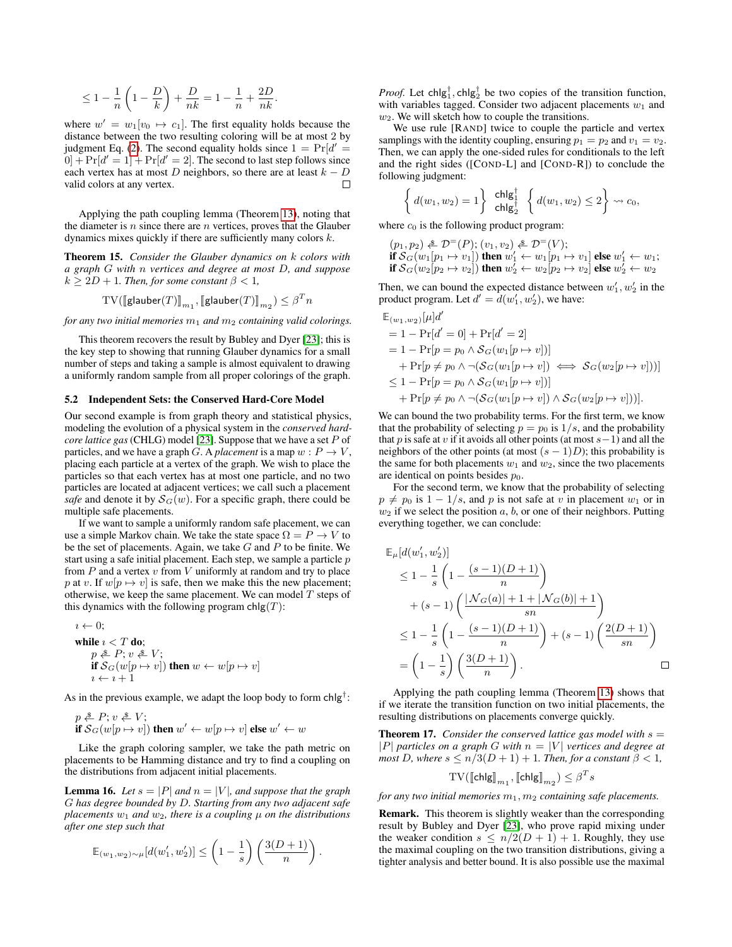$$
\leq 1-\frac{1}{n}\left(1-\frac{D}{k}\right)+\frac{D}{nk}=1-\frac{1}{n}+\frac{2D}{nk}.
$$

where  $w' = w_1[v_0 \mapsto c_1]$ . The first equality holds because the distance between the two resulting coloring will be at most 2 by judgment Eq. [\(2\)](#page-8-1). The second equality holds since  $1 = Pr[d' =$  $[0] + Pr[d' = 1] + Pr[d' = 2]$ . The second to last step follows since each vertex has at most D neighbors, so there are at least  $k - D$ valid colors at any vertex.  $\Box$ 

Applying the path coupling lemma (Theorem [13\)](#page-8-0), noting that the diameter is n since there are  $n$  vertices, proves that the Glauber dynamics mixes quickly if there are sufficiently many colors k.

Theorem 15. *Consider the Glauber dynamics on* k *colors with a graph* G *with* n *vertices and degree at most* D*, and suppose*  $k > 2D + 1$ *. Then, for some constant*  $\beta < 1$ *,* 

$$
\mathrm{TV}(\llbracket \mathsf{glauber}(T) \rrbracket_{m_1}, \llbracket \mathsf{glauber}(T) \rrbracket_{m_2}) \leq \beta^T n
$$

*for any two initial memories*  $m_1$  *and*  $m_2$  *containing valid colorings.* 

This theorem recovers the result by Bubley and Dyer [\[23\]](#page-12-6); this is the key step to showing that running Glauber dynamics for a small number of steps and taking a sample is almost equivalent to drawing a uniformly random sample from all proper colorings of the graph.

#### 5.2 Independent Sets: the Conserved Hard-Core Model

Our second example is from graph theory and statistical physics, modeling the evolution of a physical system in the *conserved hardcore lattice gas* (CHLG) model [\[23\]](#page-12-6). Suppose that we have a set P of particles, and we have a graph G. A *placement* is a map  $w : P \to V$ , placing each particle at a vertex of the graph. We wish to place the particles so that each vertex has at most one particle, and no two particles are located at adjacent vertices; we call such a placement *safe* and denote it by  $S_G(w)$ . For a specific graph, there could be multiple safe placements.

If we want to sample a uniformly random safe placement, we can use a simple Markov chain. We take the state space  $\Omega = P \rightarrow V$  to be the set of placements. Again, we take  $G$  and  $P$  to be finite. We start using a safe initial placement. Each step, we sample a particle  $p$ from  $P$  and a vertex  $v$  from  $V$  uniformly at random and try to place p at v. If  $w[p \mapsto v]$  is safe, then we make this the new placement; otherwise, we keep the same placement. We can model  $T$  steps of this dynamics with the following program  $\text{chlg}(T)$ :

 $i \leftarrow 0$ : while  $i < T$  do;  $p \triangleq P; v \triangleq V;$ if  ${\cal S}_G(w[p \mapsto v])$  then  $w \leftarrow w[p \mapsto v]$  $i \leftarrow i + 1$ 

As in the previous example, we adapt the loop body to form chlg<sup>†</sup>:

 $p \triangleq P$ ;  $v \triangleq V$ ; if  ${\cal S}_G(w[p \mapsto v])$  then  $w' \leftarrow w[p \mapsto v]$  else  $w' \leftarrow w$ 

Like the graph coloring sampler, we take the path metric on placements to be Hamming distance and try to find a coupling on the distributions from adjacent initial placements.

**Lemma 16.** Let  $s = |P|$  and  $n = |V|$ , and suppose that the graph G *has degree bounded by* D*. Starting from any two adjacent safe*  $p$ *lacements*  $w_1$  *and*  $w_2$ *, there is a coupling*  $\mu$  *on the distributions after one step such that*

$$
\mathbb{E}_{(w_1, w_2) \sim \mu}[d(w'_1, w'_2)] \le \left(1 - \frac{1}{s}\right) \left(\frac{3(D+1)}{n}\right).
$$

*Proof.* Let chlg<sup>†</sup>, chlg<sup>†</sup> be two copies of the transition function, with variables tagged. Consider two adjacent placements  $w_1$  and  $w_2$ . We will sketch how to couple the transitions.

We use rule [RAND] twice to couple the particle and vertex samplings with the identity coupling, ensuring  $p_1 = p_2$  and  $v_1 = v_2$ . Then, we can apply the one-sided rules for conditionals to the left and the right sides ([COND-L] and [COND-R]) to conclude the following judgment:

$$
\left\{ d(w_1, w_2) = 1 \right\} \begin{array}{c} \mathsf{chlg}_1^{\dagger} \\ \mathsf{chlg}_2^{\dagger} \end{array} \left\{ d(w_1, w_2) \le 2 \right\} \rightsquigarrow c_0,
$$

where  $c_0$  is the following product program:

 $(p_1, p_2) \triangleq \mathcal{D}^=(P); (v_1, v_2) \triangleq \mathcal{D}^=(V);$ if  ${\cal S}_G(w_1[p_1 \mapsto v_1])$  then  $w_1' \leftarrow w_1[p_1 \mapsto v_1]$  else  $w_1' \leftarrow w_1;$ if  ${\cal S}_G(w_2[p_2 \mapsto v_2])$  then  $w_2' \leftarrow w_2[p_2 \mapsto v_2]$  else  $w_2' \leftarrow w_2$ 

Then, we can bound the expected distance between  $w'_1, w'_2$  in the product program. Let  $d' = d(w'_1, w'_2)$ , we have:

$$
\mathbb{E}_{(w_1, w_2)}[\mu]d'
$$
\n= 1 - Pr[d' = 0] + Pr[d' = 2]\n= 1 - Pr[p = p\_0 \land S\_G(w\_1[p \mapsto v])]\n+ Pr[p \neq p\_0 \land \neg(S\_G(w\_1[p \mapsto v]) \iff S\_G(w\_2[p \mapsto v]))]\n\leq 1 - Pr[p = p\_0 \land S\_G(w\_1[p \mapsto v])]\n+ Pr[p \neq p\_0 \land \neg(S\_G(w\_1[p \mapsto v]) \land S\_G(w\_2[p \mapsto v]))].

We can bound the two probability terms. For the first term, we know that the probability of selecting  $p = p_0$  is  $1/s$ , and the probability that p is safe at v if it avoids all other points (at most  $s-1$ ) and all the neighbors of the other points (at most  $(s - 1)D$ ); this probability is the same for both placements  $w_1$  and  $w_2$ , since the two placements are identical on points besides  $p_0$ .

For the second term, we know that the probability of selecting  $p \neq p_0$  is  $1 - 1/s$ , and p is not safe at v in placement  $w_1$  or in  $w_2$  if we select the position  $a, b$ , or one of their neighbors. Putting everything together, we can conclude:

$$
\mathbb{E}_{\mu}[d(w'_1, w'_2)]
$$
\n
$$
\leq 1 - \frac{1}{s} \left( 1 - \frac{(s-1)(D+1)}{n} \right)
$$
\n
$$
+ (s-1) \left( \frac{|N_G(a)| + 1 + |N_G(b)| + 1}{sn} \right)
$$
\n
$$
\leq 1 - \frac{1}{s} \left( 1 - \frac{(s-1)(D+1)}{n} \right) + (s-1) \left( \frac{2(D+1)}{sn} \right)
$$
\n
$$
= \left( 1 - \frac{1}{s} \right) \left( \frac{3(D+1)}{n} \right).
$$

Applying the path coupling lemma (Theorem [13\)](#page-8-0) shows that if we iterate the transition function on two initial placements, the resulting distributions on placements converge quickly.

**Theorem 17.** *Consider the conserved lattice gas model with*  $s =$ | $P$ | *particles on a graph* G with  $n = |V|$  *vertices and degree at most* D, where  $s \leq n/3(D+1) + 1$ *. Then, for a constant*  $\beta < 1$ *,* 

$$
\mathrm{TV}(\llbracket \mathsf{chlg} \rrbracket_{m_1}, \llbracket \mathsf{chlg} \rrbracket_{m_2}) \leq \beta^T s
$$

*for any two initial memories*  $m_1, m_2$  *containing safe placements.* 

Remark. This theorem is slightly weaker than the corresponding result by Bubley and Dyer [\[23\]](#page-12-6), who prove rapid mixing under the weaker condition  $s \leq n/2(D+1) + 1$ . Roughly, they use the maximal coupling on the two transition distributions, giving a tighter analysis and better bound. It is also possible use the maximal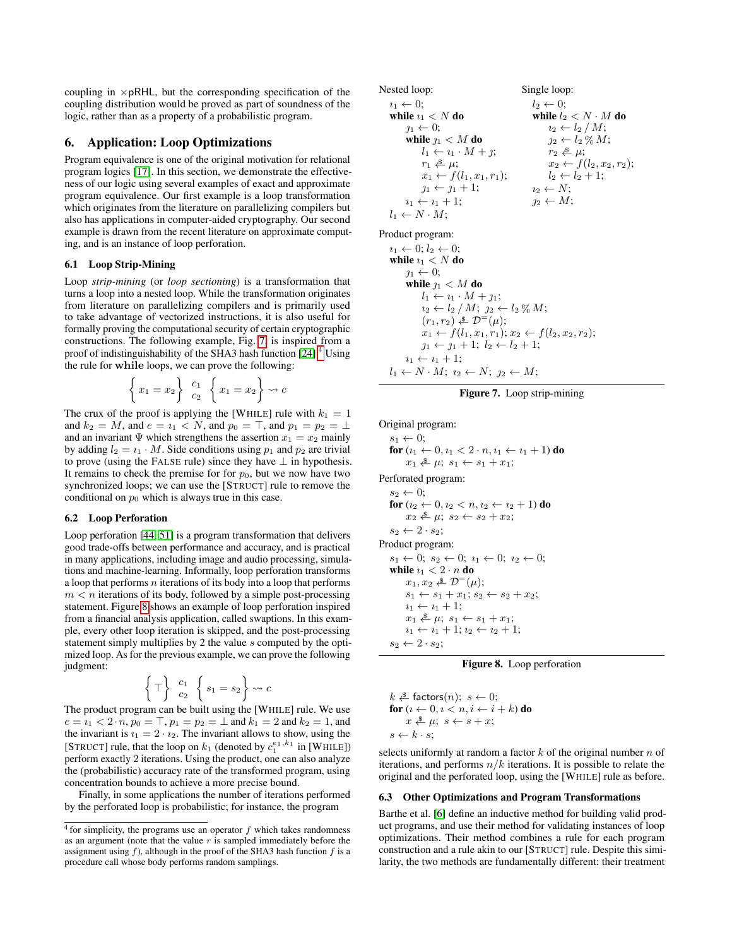coupling in  $\times$  pRHL, but the corresponding specification of the coupling distribution would be proved as part of soundness of the logic, rather than as a property of a probabilistic program.

# 6. Application: Loop Optimizations

Program equivalence is one of the original motivation for relational program logics [\[17\]](#page-12-14). In this section, we demonstrate the effectiveness of our logic using several examples of exact and approximate program equivalence. Our first example is a loop transformation which originates from the literature on parallelizing compilers but also has applications in computer-aided cryptography. Our second example is drawn from the recent literature on approximate computing, and is an instance of loop perforation.

#### 6.1 Loop Strip-Mining

Loop *strip-mining* (or *loop sectioning*) is a transformation that turns a loop into a nested loop. While the transformation originates from literature on parallelizing compilers and is primarily used to take advantage of vectorized instructions, it is also useful for formally proving the computational security of certain cryptographic constructions. The following example, Fig. [7,](#page-10-0) is inspired from a proof of indistinguishability of the SHA3 hash function [\[24\]](#page-12-15).[4](#page-10-1) Using the rule for while loops, we can prove the following:

$$
\left\{ x_1 = x_2 \right\} \begin{array}{c} c_1 \\ c_2 \end{array} \left\{ x_1 = x_2 \right\} \rightsquigarrow c
$$

The crux of the proof is applying the [WHILE] rule with  $k_1 = 1$ and  $k_2 = M$ , and  $e = i_1 \lt N$ , and  $p_0 = \top$ , and  $p_1 = p_2 = \bot$ and an invariant  $\Psi$  which strengthens the assertion  $x_1 = x_2$  mainly by adding  $l_2 = i_1 \cdot M$ . Side conditions using  $p_1$  and  $p_2$  are trivial to prove (using the FALSE rule) since they have  $\perp$  in hypothesis. It remains to check the premise for for  $p_0$ , but we now have two synchronized loops; we can use the [STRUCT] rule to remove the conditional on  $p_0$  which is always true in this case.

## 6.2 Loop Perforation

Loop perforation [\[44,](#page-13-11) [51\]](#page-13-12) is a program transformation that delivers good trade-offs between performance and accuracy, and is practical in many applications, including image and audio processing, simulations and machine-learning. Informally, loop perforation transforms a loop that performs  $n$  iterations of its body into a loop that performs  $m < n$  iterations of its body, followed by a simple post-processing statement. Figure [8](#page-10-2) shows an example of loop perforation inspired from a financial analysis application, called swaptions. In this example, every other loop iteration is skipped, and the post-processing statement simply multiplies by 2 the value s computed by the optimized loop. As for the previous example, we can prove the following judgment:

$$
\left\{\top\right\} \begin{array}{c} c_1 \\ c_2 \end{array} \left\{s_1 = s_2\right\} \rightsquigarrow c
$$

The product program can be built using the [WHILE] rule. We use  $e = i_1 < 2 \cdot n$ ,  $p_0 = \top$ ,  $p_1 = p_2 = \bot$  and  $k_1 = 2$  and  $k_2 = 1$ , and the invariant is  $i_1 = 2 \cdot i_2$ . The invariant allows to show, using the [STRUCT] rule, that the loop on  $k_1$  (denoted by  $c_1^{e_1,k_1}$  in [WHILE]) perform exactly 2 iterations. Using the product, one can also analyze the (probabilistic) accuracy rate of the transformed program, using concentration bounds to achieve a more precise bound.

Finally, in some applications the number of iterations performed by the perforated loop is probabilistic; for instance, the program

```
Nested loop:
i_1 \leftarrow 0;
 while i_1 < N do
      j_1 \leftarrow 0;while j_1 < M do
           l_1 \leftarrow i_1 \cdot M + j;r_1 \triangleq \mu;
           x_1 \leftarrow f(l_1, x_1, r_1);j_1 \leftarrow j_1 + 1;i_1 \leftarrow i_1 + 1;l_1 \leftarrow N \cdot M:
                                               Single loop:
                                                  l_2 \leftarrow 0;
                                                   while l_2 < N \cdot M do
                                                     i_2 \leftarrow l_2 / M;j_2 \leftarrow l_2 \mathcal{C}_0 M;r_2 \triangleq \mu;
                                                       x_2 \leftarrow f(l_2, x_2, r_2);l_2 \leftarrow l_2 + 1;i_2 \leftarrow N;j_2 \leftarrow M;
```
Product program:

```
i_1 \leftarrow 0; i_2 \leftarrow 0;while i_1 < N do
   j_1 \leftarrow 0;while \eta_1 < M do
         l_1 \leftarrow i_1 \cdot M + j_1;i_2 \leftarrow l_2/M; j_2 \leftarrow l_2 \% M;
          (r_1, r_2) \triangleq \mathcal{D}^=(\mu);x_1 \leftarrow f(l_1, x_1, r_1); x_2 \leftarrow f(l_2, x_2, r_2);j_1 \leftarrow j_1 + 1; l_2 \leftarrow l_2 + 1;i_1 \leftarrow i_1 + 1;l_1 \leftarrow N \cdot M; \; i_2 \leftarrow N; \; \gamma_2 \leftarrow M;
```

```
Figure 7. Loop strip-mining
```
Original program:

 $s_1 \leftarrow 0;$ for  $(i_1 \leftarrow 0, i_1 < 2 \cdot n, i_1 \leftarrow i_1 + 1)$  do  $x_1 \triangleq \mu; s_1 \leftarrow s_1 + x_1;$ Perforated program:  $s_2 \leftarrow 0;$ for  $(i_2 \leftarrow 0, i_2 < n, i_2 \leftarrow i_2 + 1)$  do  $x_2 \& \mu; s_2 \leftarrow s_2 + x_2;$  $s_2 \leftarrow 2 \cdot s_2$ ; Product program:  $s_1 \leftarrow 0; s_2 \leftarrow 0; t_1 \leftarrow 0; t_2 \leftarrow 0;$ while  $i_1 < 2 \cdot n$  do  $x_1, x_2 \triangleq \mathcal{D}^=(\mu);$  $s_1 \leftarrow s_1 + x_1$ ;  $s_2 \leftarrow s_2 + x_2$ ;  $i_1 \leftarrow i_1 + 1;$  $x_1 \triangleq \mu; s_1 \leftarrow s_1 + x_1;$  $i_1 \leftarrow i_1 + 1; i_2 \leftarrow i_2 + 1;$  $s_2 \leftarrow 2 \cdot s_2$ ;

## <span id="page-10-2"></span>Figure 8. Loop perforation

 $k \triangleq$  factors $(n)$ ;  $s \leftarrow 0$ ; for  $(i \leftarrow 0, i \leftarrow n, i \leftarrow i + k)$  do  $x \triangleq \mu$ ;  $s \leftarrow s + x$ ;  $s \leftarrow k \cdot s$ ;

selects uniformly at random a factor  $k$  of the original number  $n$  of iterations, and performs  $n/k$  iterations. It is possible to relate the original and the perforated loop, using the [WHILE] rule as before.

## 6.3 Other Optimizations and Program Transformations

Barthe et al. [\[6\]](#page-12-8) define an inductive method for building valid product programs, and use their method for validating instances of loop optimizations. Their method combines a rule for each program construction and a rule akin to our [STRUCT] rule. Despite this similarity, the two methods are fundamentally different: their treatment

<span id="page-10-1"></span> $4$  for simplicity, the programs use an operator  $f$  which takes randomness as an argument (note that the value  $r$  is sampled immediately before the assignment using  $f$ ), although in the proof of the SHA3 hash function  $f$  is a procedure call whose body performs random samplings.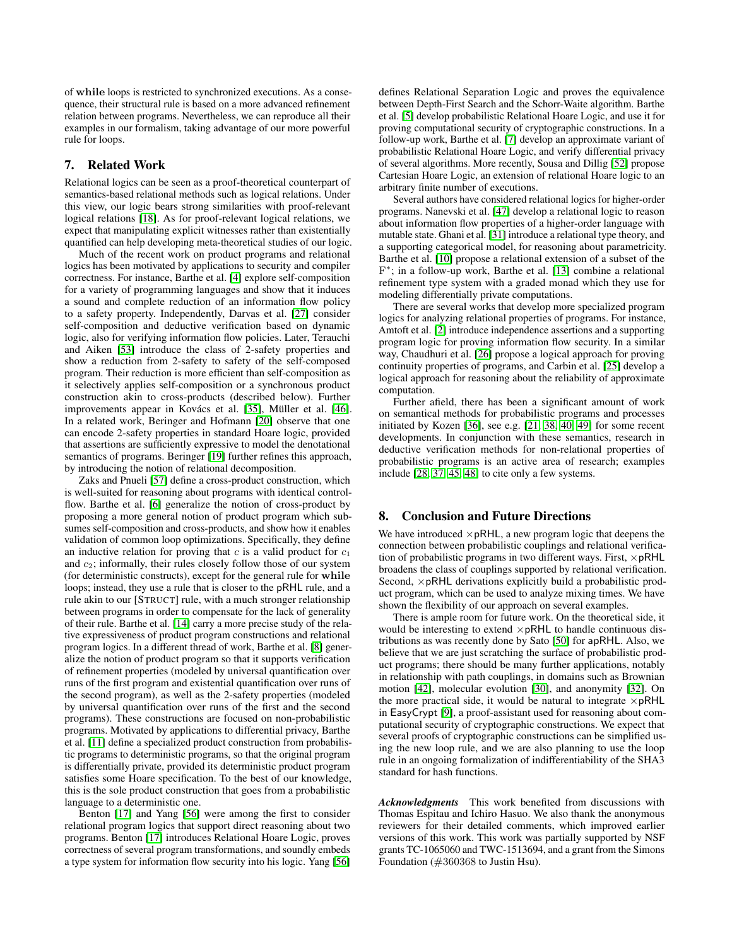of while loops is restricted to synchronized executions. As a consequence, their structural rule is based on a more advanced refinement relation between programs. Nevertheless, we can reproduce all their examples in our formalism, taking advantage of our more powerful rule for loops.

# 7. Related Work

Relational logics can be seen as a proof-theoretical counterpart of semantics-based relational methods such as logical relations. Under this view, our logic bears strong similarities with proof-relevant logical relations [\[18\]](#page-12-16). As for proof-relevant logical relations, we expect that manipulating explicit witnesses rather than existentially quantified can help developing meta-theoretical studies of our logic.

Much of the recent work on product programs and relational logics has been motivated by applications to security and compiler correctness. For instance, Barthe et al. [\[4\]](#page-12-17) explore self-composition for a variety of programming languages and show that it induces a sound and complete reduction of an information flow policy to a safety property. Independently, Darvas et al. [\[27\]](#page-12-18) consider self-composition and deductive verification based on dynamic logic, also for verifying information flow policies. Later, Terauchi and Aiken [\[53\]](#page-13-13) introduce the class of 2-safety properties and show a reduction from 2-safety to safety of the self-composed program. Their reduction is more efficient than self-composition as it selectively applies self-composition or a synchronous product construction akin to cross-products (described below). Further improvements appear in Kovács et al. [\[35\]](#page-12-19), Müller et al. [\[46\]](#page-13-14). In a related work, Beringer and Hofmann [\[20\]](#page-12-20) observe that one can encode 2-safety properties in standard Hoare logic, provided that assertions are sufficiently expressive to model the denotational semantics of programs. Beringer [\[19\]](#page-12-21) further refines this approach, by introducing the notion of relational decomposition.

Zaks and Pnueli [\[57\]](#page-13-5) define a cross-product construction, which is well-suited for reasoning about programs with identical controlflow. Barthe et al. [\[6\]](#page-12-8) generalize the notion of cross-product by proposing a more general notion of product program which subsumes self-composition and cross-products, and show how it enables validation of common loop optimizations. Specifically, they define an inductive relation for proving that  $c$  is a valid product for  $c_1$ and  $c_2$ ; informally, their rules closely follow those of our system (for deterministic constructs), except for the general rule for while loops; instead, they use a rule that is closer to the pRHL rule, and a rule akin to our [STRUCT] rule, with a much stronger relationship between programs in order to compensate for the lack of generality of their rule. Barthe et al. [\[14\]](#page-12-22) carry a more precise study of the relative expressiveness of product program constructions and relational program logics. In a different thread of work, Barthe et al. [\[8\]](#page-12-23) generalize the notion of product program so that it supports verification of refinement properties (modeled by universal quantification over runs of the first program and existential quantification over runs of the second program), as well as the 2-safety properties (modeled by universal quantification over runs of the first and the second programs). These constructions are focused on non-probabilistic programs. Motivated by applications to differential privacy, Barthe et al. [\[11\]](#page-12-24) define a specialized product construction from probabilistic programs to deterministic programs, so that the original program is differentially private, provided its deterministic product program satisfies some Hoare specification. To the best of our knowledge, this is the sole product construction that goes from a probabilistic language to a deterministic one.

Benton [\[17\]](#page-12-14) and Yang [\[56\]](#page-13-15) were among the first to consider relational program logics that support direct reasoning about two programs. Benton [\[17\]](#page-12-14) introduces Relational Hoare Logic, proves correctness of several program transformations, and soundly embeds a type system for information flow security into his logic. Yang [\[56\]](#page-13-15) defines Relational Separation Logic and proves the equivalence between Depth-First Search and the Schorr-Waite algorithm. Barthe et al. [\[5\]](#page-12-3) develop probabilistic Relational Hoare Logic, and use it for proving computational security of cryptographic constructions. In a follow-up work, Barthe et al. [\[7\]](#page-12-5) develop an approximate variant of probabilistic Relational Hoare Logic, and verify differential privacy of several algorithms. More recently, Sousa and Dillig [\[52\]](#page-13-16) propose Cartesian Hoare Logic, an extension of relational Hoare logic to an arbitrary finite number of executions.

Several authors have considered relational logics for higher-order programs. Nanevski et al. [\[47\]](#page-13-17) develop a relational logic to reason about information flow properties of a higher-order language with mutable state. Ghani et al. [\[31\]](#page-12-25) introduce a relational type theory, and a supporting categorical model, for reasoning about parametricity. Barthe et al. [\[10\]](#page-12-26) propose a relational extension of a subset of the F ∗ ; in a follow-up work, Barthe et al. [\[13\]](#page-12-27) combine a relational refinement type system with a graded monad which they use for modeling differentially private computations.

There are several works that develop more specialized program logics for analyzing relational properties of programs. For instance, Amtoft et al. [\[2\]](#page-12-28) introduce independence assertions and a supporting program logic for proving information flow security. In a similar way, Chaudhuri et al. [\[26\]](#page-12-29) propose a logical approach for proving continuity properties of programs, and Carbin et al. [\[25\]](#page-12-30) develop a logical approach for reasoning about the reliability of approximate computation.

Further afield, there has been a significant amount of work on semantical methods for probabilistic programs and processes initiated by Kozen [\[36\]](#page-13-6), see e.g. [\[21,](#page-12-31) [38,](#page-13-18) [40,](#page-13-19) [49\]](#page-13-20) for some recent developments. In conjunction with these semantics, research in deductive verification methods for non-relational properties of probabilistic programs is an active area of research; examples include [\[28,](#page-12-12) [37,](#page-13-8) [45,](#page-13-9) [48\]](#page-13-10) to cite only a few systems.

# 8. Conclusion and Future Directions

We have introduced  $\times$  pRHL, a new program logic that deepens the connection between probabilistic couplings and relational verification of probabilistic programs in two different ways. First,  $\times$  pRHL broadens the class of couplings supported by relational verification. Second,  $\times$  pRHL derivations explicitly build a probabilistic product program, which can be used to analyze mixing times. We have shown the flexibility of our approach on several examples.

There is ample room for future work. On the theoretical side, it would be interesting to extend  $\times$  pRHL to handle continuous distributions as was recently done by Sato [\[50\]](#page-13-21) for apRHL. Also, we believe that we are just scratching the surface of probabilistic product programs; there should be many further applications, notably in relationship with path couplings, in domains such as Brownian motion [\[42\]](#page-13-1), molecular evolution [\[30\]](#page-12-32), and anonymity [\[32\]](#page-12-33). On the more practical side, it would be natural to integrate  $\times$  pRHL in EasyCrypt [\[9\]](#page-12-34), a proof-assistant used for reasoning about computational security of cryptographic constructions. We expect that several proofs of cryptographic constructions can be simplified using the new loop rule, and we are also planning to use the loop rule in an ongoing formalization of indifferentiability of the SHA3 standard for hash functions.

*Acknowledgments* This work benefited from discussions with Thomas Espitau and Ichiro Hasuo. We also thank the anonymous reviewers for their detailed comments, which improved earlier versions of this work. This work was partially supported by NSF grants TC-1065060 and TWC-1513694, and a grant from the Simons Foundation (#360368 to Justin Hsu).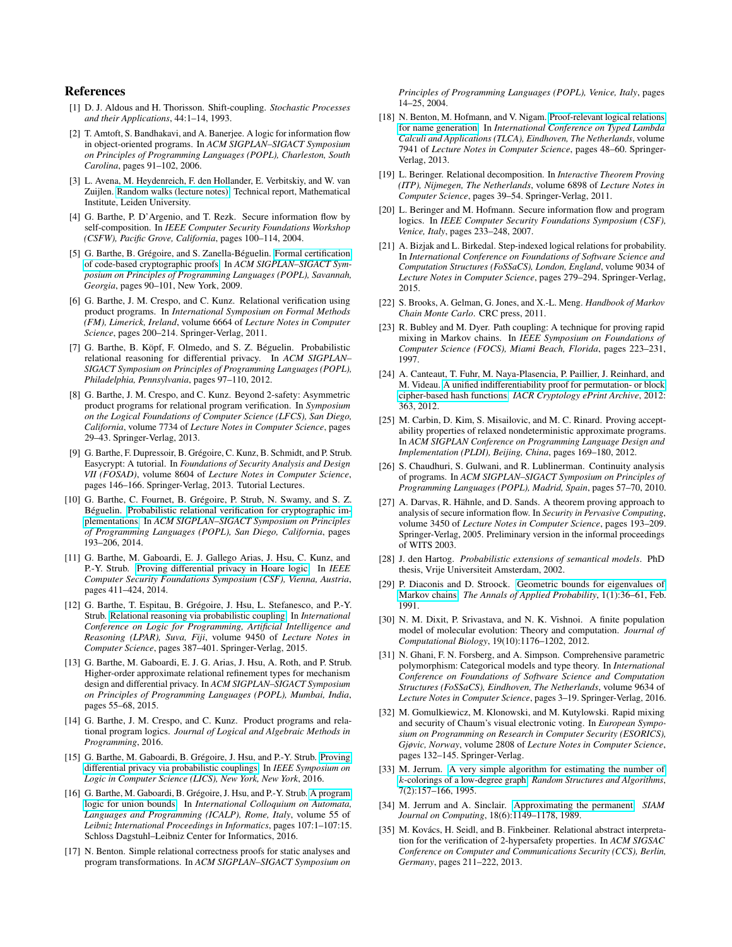# References

- <span id="page-12-7"></span>[1] D. J. Aldous and H. Thorisson. Shift-coupling. *Stochastic Processes and their Applications*, 44:1–14, 1993.
- <span id="page-12-28"></span>[2] T. Amtoft, S. Bandhakavi, and A. Banerjee. A logic for information flow in object-oriented programs. In *ACM SIGPLAN–SIGACT Symposium on Principles of Programming Languages (POPL), Charleston, South Carolina*, pages 91–102, 2006.
- <span id="page-12-13"></span>[3] L. Avena, M. Heydenreich, F. den Hollander, E. Verbitskiy, and W. van Zuijlen. [Random walks \(lecture notes\).](http://websites.math.leidenuniv.nl/probability/lecturenotes/RandomWalks.pdf) Technical report, Mathematical Institute, Leiden University.
- <span id="page-12-17"></span>[4] G. Barthe, P. D'Argenio, and T. Rezk. Secure information flow by self-composition. In *IEEE Computer Security Foundations Workshop (CSFW), Pacific Grove, California*, pages 100–114, 2004.
- <span id="page-12-3"></span>[5] G. Barthe, B. Grégoire, and S. Zanella-Béguelin. [Formal certification](http://certicrypt.gforge.inria.fr/2013.Journal.pdf) [of code-based cryptographic proofs.](http://certicrypt.gforge.inria.fr/2013.Journal.pdf) In *ACM SIGPLAN–SIGACT Symposium on Principles of Programming Languages (POPL), Savannah, Georgia*, pages 90–101, New York, 2009.
- <span id="page-12-8"></span>[6] G. Barthe, J. M. Crespo, and C. Kunz. Relational verification using product programs. In *International Symposium on Formal Methods (FM), Limerick, Ireland*, volume 6664 of *Lecture Notes in Computer Science*, pages 200–214. Springer-Verlag, 2011.
- <span id="page-12-5"></span>[7] G. Barthe, B. Köpf, F. Olmedo, and S. Z. Béguelin. Probabilistic relational reasoning for differential privacy. In *ACM SIGPLAN– SIGACT Symposium on Principles of Programming Languages (POPL), Philadelphia, Pennsylvania*, pages 97–110, 2012.
- <span id="page-12-23"></span>[8] G. Barthe, J. M. Crespo, and C. Kunz. Beyond 2-safety: Asymmetric product programs for relational program verification. In *Symposium on the Logical Foundations of Computer Science (LFCS), San Diego, California*, volume 7734 of *Lecture Notes in Computer Science*, pages 29–43. Springer-Verlag, 2013.
- <span id="page-12-34"></span>[9] G. Barthe, F. Dupressoir, B. Grégoire, C. Kunz, B. Schmidt, and P. Strub. Easycrypt: A tutorial. In *Foundations of Security Analysis and Design VII (FOSAD)*, volume 8604 of *Lecture Notes in Computer Science*, pages 146–166. Springer-Verlag, 2013. Tutorial Lectures.
- <span id="page-12-26"></span>[10] G. Barthe, C. Fournet, B. Grégoire, P. Strub, N. Swamy, and S. Z. Béguelin. [Probabilistic relational verification for cryptographic im](http://doi.acm.org/10.1145/2535838.2535847)[plementations.](http://doi.acm.org/10.1145/2535838.2535847) In *ACM SIGPLAN–SIGACT Symposium on Principles of Programming Languages (POPL), San Diego, California*, pages 193–206, 2014.
- <span id="page-12-24"></span>[11] G. Barthe, M. Gaboardi, E. J. Gallego Arias, J. Hsu, C. Kunz, and P.-Y. Strub. [Proving differential privacy in Hoare logic.](http://arxiv.org/abs/1407.2988) In *IEEE Computer Security Foundations Symposium (CSF), Vienna, Austria*, pages 411–424, 2014.
- <span id="page-12-2"></span>[12] G. Barthe, T. Espitau, B. Grégoire, J. Hsu, L. Stefanesco, and P.-Y. Strub. [Relational reasoning via probabilistic coupling.](http://arxiv.org/abs/1509.03476) In *International Conference on Logic for Programming, Artificial Intelligence and Reasoning (LPAR), Suva, Fiji*, volume 9450 of *Lecture Notes in Computer Science*, pages 387–401. Springer-Verlag, 2015.
- <span id="page-12-27"></span>[13] G. Barthe, M. Gaboardi, E. J. G. Arias, J. Hsu, A. Roth, and P. Strub. Higher-order approximate relational refinement types for mechanism design and differential privacy. In *ACM SIGPLAN–SIGACT Symposium on Principles of Programming Languages (POPL), Mumbai, India*, pages 55–68, 2015.
- <span id="page-12-22"></span>[14] G. Barthe, J. M. Crespo, and C. Kunz. Product programs and relational program logics. *Journal of Logical and Algebraic Methods in Programming*, 2016.
- <span id="page-12-4"></span>[15] G. Barthe, M. Gaboardi, B. Grégoire, J. Hsu, and P.-Y. Strub. [Proving](http://arxiv.org/abs/1601.05047) [differential privacy via probabilistic couplings.](http://arxiv.org/abs/1601.05047) In *IEEE Symposium on Logic in Computer Science (LICS), New York, New York*, 2016.
- <span id="page-12-11"></span>[16] G. Barthe, M. Gaboardi, B. Grégoire, J. Hsu, and P.-Y. Strub. [A program](http://arxiv.org/abs/1602.05681) [logic for union bounds.](http://arxiv.org/abs/1602.05681) In *International Colloquium on Automata, Languages and Programming (ICALP), Rome, Italy*, volume 55 of *Leibniz International Proceedings in Informatics*, pages 107:1–107:15. Schloss Dagstuhl–Leibniz Center for Informatics, 2016.
- <span id="page-12-14"></span>[17] N. Benton. Simple relational correctness proofs for static analyses and program transformations. In *ACM SIGPLAN–SIGACT Symposium on*

*Principles of Programming Languages (POPL), Venice, Italy*, pages 14–25, 2004.

- <span id="page-12-16"></span>[18] N. Benton, M. Hofmann, and V. Nigam. [Proof-relevant logical relations](http://dx.doi.org/10.1007/978-3-642-38946-7_6) [for name generation.](http://dx.doi.org/10.1007/978-3-642-38946-7_6) In *International Conference on Typed Lambda Calculi and Applications (TLCA), Eindhoven, The Netherlands*, volume 7941 of *Lecture Notes in Computer Science*, pages 48–60. Springer-Verlag, 2013.
- <span id="page-12-21"></span>[19] L. Beringer. Relational decomposition. In *Interactive Theorem Proving (ITP), Nijmegen, The Netherlands*, volume 6898 of *Lecture Notes in Computer Science*, pages 39–54. Springer-Verlag, 2011.
- <span id="page-12-20"></span>[20] L. Beringer and M. Hofmann. Secure information flow and program logics. In *IEEE Computer Security Foundations Symposium (CSF), Venice, Italy*, pages 233–248, 2007.
- <span id="page-12-31"></span>[21] A. Bizjak and L. Birkedal. Step-indexed logical relations for probability. In *International Conference on Foundations of Software Science and Computation Structures (FoSSaCS), London, England*, volume 9034 of *Lecture Notes in Computer Science*, pages 279–294. Springer-Verlag, 2015.
- <span id="page-12-1"></span>[22] S. Brooks, A. Gelman, G. Jones, and X.-L. Meng. *Handbook of Markov Chain Monte Carlo*. CRC press, 2011.
- <span id="page-12-6"></span>[23] R. Bubley and M. Dyer. Path coupling: A technique for proving rapid mixing in Markov chains. In *IEEE Symposium on Foundations of Computer Science (FOCS), Miami Beach, Florida*, pages 223–231, 1997.
- <span id="page-12-15"></span>[24] A. Canteaut, T. Fuhr, M. Naya-Plasencia, P. Paillier, J. Reinhard, and M. Videau. [A unified indifferentiability proof for permutation- or block](http://eprint.iacr.org/2012/363) [cipher-based hash functions.](http://eprint.iacr.org/2012/363) *IACR Cryptology ePrint Archive*, 2012: 363, 2012.
- <span id="page-12-30"></span>[25] M. Carbin, D. Kim, S. Misailovic, and M. C. Rinard. Proving acceptability properties of relaxed nondeterministic approximate programs. In *ACM SIGPLAN Conference on Programming Language Design and Implementation (PLDI), Beijing, China*, pages 169–180, 2012.
- <span id="page-12-29"></span>[26] S. Chaudhuri, S. Gulwani, and R. Lublinerman. Continuity analysis of programs. In *ACM SIGPLAN–SIGACT Symposium on Principles of Programming Languages (POPL), Madrid, Spain*, pages 57–70, 2010.
- <span id="page-12-18"></span>[27] A. Darvas, R. Hähnle, and D. Sands. A theorem proving approach to analysis of secure information flow. In *Security in Pervasive Computing*, volume 3450 of *Lecture Notes in Computer Science*, pages 193–209. Springer-Verlag, 2005. Preliminary version in the informal proceedings of WITS 2003.
- <span id="page-12-12"></span>[28] J. den Hartog. *Probabilistic extensions of semantical models*. PhD thesis, Vrije Universiteit Amsterdam, 2002.
- <span id="page-12-9"></span>[29] P. Diaconis and D. Stroock. [Geometric bounds for eigenvalues of](http://dx.doi.org/10.1214/aoap/1177005980) [Markov chains.](http://dx.doi.org/10.1214/aoap/1177005980) *The Annals of Applied Probability*, 1(1):36–61, Feb. 1991.
- <span id="page-12-32"></span>[30] N. M. Dixit, P. Srivastava, and N. K. Vishnoi. A finite population model of molecular evolution: Theory and computation. *Journal of Computational Biology*, 19(10):1176–1202, 2012.
- <span id="page-12-25"></span>[31] N. Ghani, F. N. Forsberg, and A. Simpson. Comprehensive parametric polymorphism: Categorical models and type theory. In *International Conference on Foundations of Software Science and Computation Structures (FoSSaCS), Eindhoven, The Netherlands*, volume 9634 of *Lecture Notes in Computer Science*, pages 3–19. Springer-Verlag, 2016.
- <span id="page-12-33"></span>[32] M. Gomulkiewicz, M. Klonowski, and M. Kutylowski. Rapid mixing and security of Chaum's visual electronic voting. In *European Symposium on Programming on Research in Computer Security (ESORICS), Gjøvic, Norway*, volume 2808 of *Lecture Notes in Computer Science*, pages 132–145. Springer-Verlag.
- <span id="page-12-0"></span>[33] M. Jerrum. [A very simple algorithm for estimating the number of](http://dx.doi.org/10.1002/rsa.3240070205) k[-colorings of a low-degree graph.](http://dx.doi.org/10.1002/rsa.3240070205) *Random Structures and Algorithms*, 7(2):157–166, 1995.
- <span id="page-12-10"></span>[34] M. Jerrum and A. Sinclair. [Approximating the permanent.](http://dx.doi.org/10.1137/0218077) *SIAM Journal on Computing*, 18(6):1149–1178, 1989.
- <span id="page-12-19"></span>[35] M. Kovács, H. Seidl, and B. Finkbeiner. Relational abstract interpretation for the verification of 2-hypersafety properties. In *ACM SIGSAC Conference on Computer and Communications Security (CCS), Berlin, Germany*, pages 211–222, 2013.